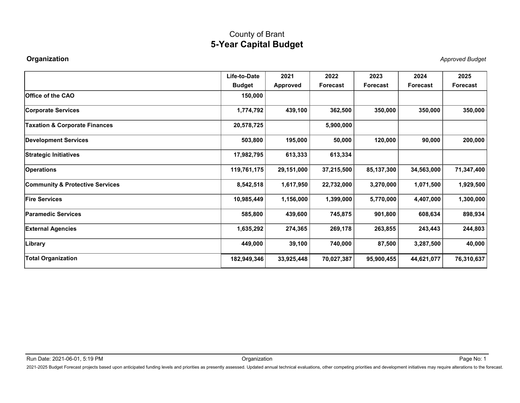| Organization<br>Office of the CAO<br>Corporate Services<br><b>Taxation &amp; Corporate Finances</b><br><b>Development Services</b><br>Strategic Initiatives<br><b>Operations</b><br>Community & Protective Services<br><b>Fire Services</b><br><b>Paramedic Services</b> | <b>5-Year Capital Budget</b><br>Life-to-Date<br><b>Budget</b><br>150,000<br>1,774,792<br>20,578,725<br>503,800<br>17,982,795<br>119,761,175<br>8,542,518 | 2021<br>Approved<br>439,100<br>195,000<br>613,333<br>29,151,000 | 2022<br>Forecast<br>362,500<br>5,900,000<br>50,000<br>613,334 | 2023<br><b>Forecast</b><br>350,000<br>120,000 | 2024<br>Forecast<br>350,000<br>90,000 | <b>Approved Budget</b><br>2025<br>Forecast<br>350,000<br>200,000 |
|--------------------------------------------------------------------------------------------------------------------------------------------------------------------------------------------------------------------------------------------------------------------------|----------------------------------------------------------------------------------------------------------------------------------------------------------|-----------------------------------------------------------------|---------------------------------------------------------------|-----------------------------------------------|---------------------------------------|------------------------------------------------------------------|
|                                                                                                                                                                                                                                                                          |                                                                                                                                                          |                                                                 |                                                               |                                               |                                       |                                                                  |
|                                                                                                                                                                                                                                                                          |                                                                                                                                                          |                                                                 |                                                               |                                               |                                       |                                                                  |
|                                                                                                                                                                                                                                                                          |                                                                                                                                                          |                                                                 |                                                               |                                               |                                       |                                                                  |
|                                                                                                                                                                                                                                                                          |                                                                                                                                                          |                                                                 |                                                               |                                               |                                       |                                                                  |
|                                                                                                                                                                                                                                                                          |                                                                                                                                                          |                                                                 |                                                               |                                               |                                       |                                                                  |
|                                                                                                                                                                                                                                                                          |                                                                                                                                                          |                                                                 |                                                               |                                               |                                       |                                                                  |
|                                                                                                                                                                                                                                                                          |                                                                                                                                                          |                                                                 |                                                               |                                               |                                       |                                                                  |
|                                                                                                                                                                                                                                                                          |                                                                                                                                                          |                                                                 |                                                               |                                               |                                       |                                                                  |
|                                                                                                                                                                                                                                                                          |                                                                                                                                                          |                                                                 | 37,215,500                                                    | 85,137,300                                    | 34,563,000                            | 71,347,400                                                       |
|                                                                                                                                                                                                                                                                          |                                                                                                                                                          | 1,617,950                                                       | 22,732,000                                                    | 3,270,000                                     | 1,071,500                             | 1,929,500                                                        |
|                                                                                                                                                                                                                                                                          | 10,985,449                                                                                                                                               | 1,156,000                                                       | 1,399,000                                                     | 5,770,000                                     | 4,407,000                             | 1,300,000                                                        |
|                                                                                                                                                                                                                                                                          | 585,800                                                                                                                                                  | 439,600                                                         | 745,875                                                       | 901,800                                       | 608,634                               | 898,934                                                          |
| <b>External Agencies</b>                                                                                                                                                                                                                                                 | 1,635,292                                                                                                                                                | 274,365                                                         | 269,178                                                       | 263,855                                       | 243,443                               | 244,803                                                          |
| Library                                                                                                                                                                                                                                                                  | 449,000                                                                                                                                                  | 39,100                                                          | 740,000                                                       | 87,500                                        | 3,287,500                             | 40,000                                                           |
| <b>Total Organization</b>                                                                                                                                                                                                                                                | 182,949,346                                                                                                                                              | 33,925,448                                                      | 70,027,387                                                    | 95,900,455                                    | 44,621,077                            | 76,310,637                                                       |
|                                                                                                                                                                                                                                                                          |                                                                                                                                                          |                                                                 |                                                               |                                               |                                       |                                                                  |
|                                                                                                                                                                                                                                                                          |                                                                                                                                                          |                                                                 |                                                               |                                               |                                       |                                                                  |
| Run Date: 2021-06-01, 5:19 PM                                                                                                                                                                                                                                            | Organization                                                                                                                                             |                                                                 |                                                               |                                               |                                       | Page No: 1                                                       |
| 2021-2025 Budget Forecast projects based upon anticipated funding levels and priorities as presently assessed. Updated annual technical evaluations, other competing priorities and development initiatives may require altera                                           |                                                                                                                                                          |                                                                 |                                                               |                                               |                                       |                                                                  |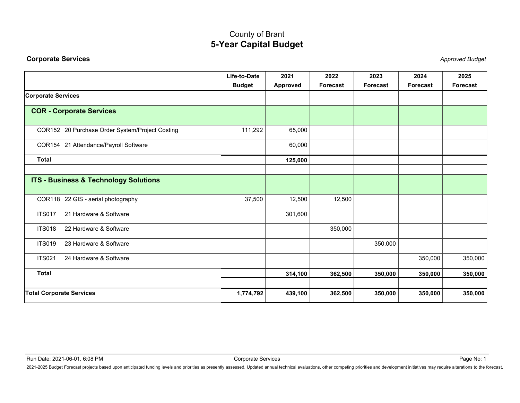<span id="page-1-0"></span>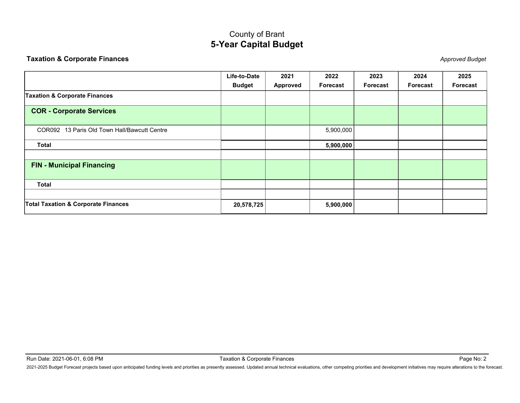<span id="page-2-0"></span>

| <b>COR - Corporate Services</b>                | Life-to-Date<br><b>Budget</b> | 2021<br><b>Approved</b> | 2022<br>Forecast | 2023<br>Forecast | 2024<br><b>Forecast</b> | 2025<br><b>Forecast</b> |
|------------------------------------------------|-------------------------------|-------------------------|------------------|------------------|-------------------------|-------------------------|
| <b>Taxation &amp; Corporate Finances</b>       |                               |                         |                  |                  |                         |                         |
|                                                |                               |                         |                  |                  |                         |                         |
|                                                |                               |                         |                  |                  |                         |                         |
| COR092 13 Paris Old Town Hall/Bawcutt Centre   |                               |                         | 5,900,000        |                  |                         |                         |
| <b>Total</b>                                   |                               |                         | 5,900,000        |                  |                         |                         |
| <b>FIN - Municipal Financing</b>               |                               |                         |                  |                  |                         |                         |
| <b>Total</b>                                   |                               |                         |                  |                  |                         |                         |
| <b>Total Taxation &amp; Corporate Finances</b> | 20,578,725                    |                         | 5,900,000        |                  |                         |                         |
|                                                |                               |                         |                  |                  |                         |                         |

Page No: 2<br>2021-2025 Budget Forecast projects based upon anticipated funding levels and priorities as presently assessed. Updated annual technical evaluations, other competing priorities and development initiatives may req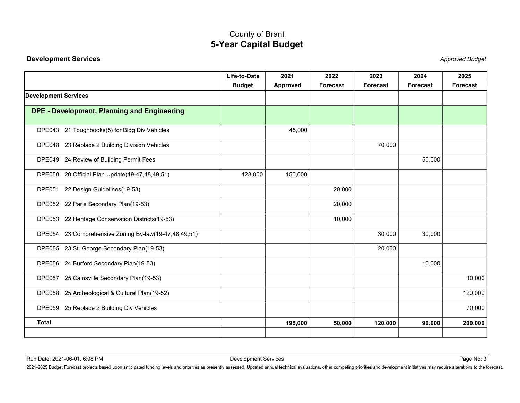<span id="page-3-0"></span>

| <b>Development Services</b><br><b>Approved Budget</b><br>2024<br>Life-to-Date<br>2021<br>2022<br>2023<br>2025<br><b>Budget</b><br>Forecast<br>Forecast<br>Approved<br><b>Forecast</b><br><b>Forecast</b><br><b>Development Services</b><br>DPE - Development, Planning and Engineering<br>DPE043 21 Toughbooks(5) for Bldg Div Vehicles<br>45,000<br>DPE048 23 Replace 2 Building Division Vehicles<br>70,000<br>DPE049 24 Review of Building Permit Fees<br>50,000<br>DPE050 20 Official Plan Update(19-47,48,49,51)<br>150,000<br>128,800<br>DPE051 22 Design Guidelines(19-53)<br>20,000<br>DPE052 22 Paris Secondary Plan(19-53)<br>20,000<br>DPE053 22 Heritage Conservation Districts(19-53)<br>10,000 |
|--------------------------------------------------------------------------------------------------------------------------------------------------------------------------------------------------------------------------------------------------------------------------------------------------------------------------------------------------------------------------------------------------------------------------------------------------------------------------------------------------------------------------------------------------------------------------------------------------------------------------------------------------------------------------------------------------------------|
|                                                                                                                                                                                                                                                                                                                                                                                                                                                                                                                                                                                                                                                                                                              |
|                                                                                                                                                                                                                                                                                                                                                                                                                                                                                                                                                                                                                                                                                                              |
|                                                                                                                                                                                                                                                                                                                                                                                                                                                                                                                                                                                                                                                                                                              |
|                                                                                                                                                                                                                                                                                                                                                                                                                                                                                                                                                                                                                                                                                                              |
|                                                                                                                                                                                                                                                                                                                                                                                                                                                                                                                                                                                                                                                                                                              |
|                                                                                                                                                                                                                                                                                                                                                                                                                                                                                                                                                                                                                                                                                                              |
|                                                                                                                                                                                                                                                                                                                                                                                                                                                                                                                                                                                                                                                                                                              |
|                                                                                                                                                                                                                                                                                                                                                                                                                                                                                                                                                                                                                                                                                                              |
|                                                                                                                                                                                                                                                                                                                                                                                                                                                                                                                                                                                                                                                                                                              |
|                                                                                                                                                                                                                                                                                                                                                                                                                                                                                                                                                                                                                                                                                                              |
|                                                                                                                                                                                                                                                                                                                                                                                                                                                                                                                                                                                                                                                                                                              |
| DPE054 23 Comprehensive Zoning By-law(19-47,48,49,51)<br>30,000<br>30,000                                                                                                                                                                                                                                                                                                                                                                                                                                                                                                                                                                                                                                    |
| DPE055 23 St. George Secondary Plan(19-53)<br>20,000                                                                                                                                                                                                                                                                                                                                                                                                                                                                                                                                                                                                                                                         |
| DPE056 24 Burford Secondary Plan(19-53)<br>10,000                                                                                                                                                                                                                                                                                                                                                                                                                                                                                                                                                                                                                                                            |
| DPE057 25 Cainsville Secondary Plan(19-53)<br>10,000                                                                                                                                                                                                                                                                                                                                                                                                                                                                                                                                                                                                                                                         |
| DPE058 25 Archeological & Cultural Plan(19-52)<br>120,000                                                                                                                                                                                                                                                                                                                                                                                                                                                                                                                                                                                                                                                    |
| DPE059 25 Replace 2 Building Div Vehicles<br>70,000                                                                                                                                                                                                                                                                                                                                                                                                                                                                                                                                                                                                                                                          |
| <b>Total</b><br>50,000<br>195,000<br>120,000<br>90,000<br>200,000                                                                                                                                                                                                                                                                                                                                                                                                                                                                                                                                                                                                                                            |
| <b>Development Services</b><br>Page No: 3<br>Run Date: 2021-06-01, 6:08 PM<br>2021-2025 Budget Forecast projects based upon anticipated funding levels and priorities as presently assessed. Updated annual technical evaluations, other competing priorities and development initiatives may require altera                                                                                                                                                                                                                                                                                                                                                                                                 |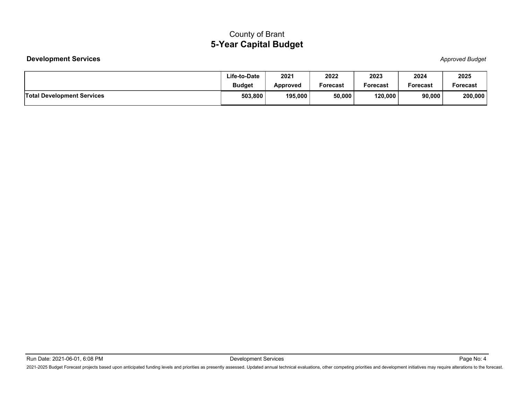|                                   | <b>County of Brant</b>        |                         |                  |                  |                  |                        |
|-----------------------------------|-------------------------------|-------------------------|------------------|------------------|------------------|------------------------|
|                                   | <b>5-Year Capital Budget</b>  |                         |                  |                  |                  |                        |
| <b>Development Services</b>       |                               |                         |                  |                  |                  | <b>Approved Budget</b> |
|                                   | Life-to-Date<br><b>Budget</b> | 2021<br><b>Approved</b> | 2022<br>Forecast | 2023<br>Forecast | 2024<br>Forecast | 2025<br>Forecast       |
| <b>Total Development Services</b> | 503,800                       | 195,000                 | 50,000           | 120,000          | 90,000           | 200,000                |
|                                   |                               |                         |                  |                  |                  |                        |
|                                   |                               |                         |                  |                  |                  |                        |

Page No: 4<br>Development Services<br>2021-2025 Budget Forecast projects based upon anticipated funding levels and priorities as presently assessed. Updated annual technical evaluations, other competing priorities and developmen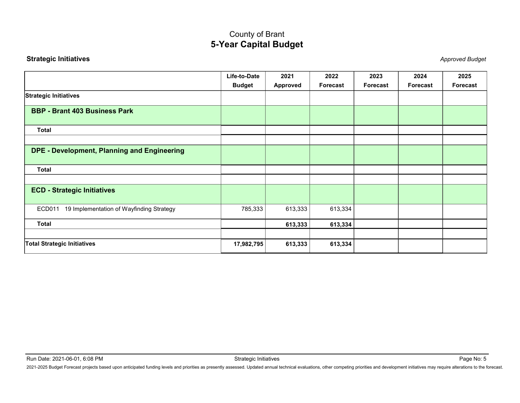<span id="page-5-0"></span>

|                                                                                                                                                                                                                                                                 |                               | 5-Year Capital Budget |                  |                  |                         |                         |
|-----------------------------------------------------------------------------------------------------------------------------------------------------------------------------------------------------------------------------------------------------------------|-------------------------------|-----------------------|------------------|------------------|-------------------------|-------------------------|
| <b>Strategic Initiatives</b>                                                                                                                                                                                                                                    |                               |                       |                  |                  |                         | <b>Approved Budget</b>  |
|                                                                                                                                                                                                                                                                 | Life-to-Date<br><b>Budget</b> | 2021<br>Approved      | 2022<br>Forecast | 2023<br>Forecast | 2024<br><b>Forecast</b> | 2025<br><b>Forecast</b> |
| Strategic Initiatives                                                                                                                                                                                                                                           |                               |                       |                  |                  |                         |                         |
| <b>BBP - Brant 403 Business Park</b>                                                                                                                                                                                                                            |                               |                       |                  |                  |                         |                         |
| <b>Total</b>                                                                                                                                                                                                                                                    |                               |                       |                  |                  |                         |                         |
| DPE - Development, Planning and Engineering                                                                                                                                                                                                                     |                               |                       |                  |                  |                         |                         |
| <b>Total</b>                                                                                                                                                                                                                                                    |                               |                       |                  |                  |                         |                         |
| <b>ECD - Strategic Initiatives</b>                                                                                                                                                                                                                              |                               |                       |                  |                  |                         |                         |
| ECD011 19 Implementation of Wayfinding Strategy                                                                                                                                                                                                                 | 785,333                       | 613,333               | 613,334          |                  |                         |                         |
| <b>Total</b>                                                                                                                                                                                                                                                    |                               | 613,333               | 613,334          |                  |                         |                         |
| Total Strategic Initiatives                                                                                                                                                                                                                                     | 17,982,795                    | 613,333               | 613,334          |                  |                         |                         |
|                                                                                                                                                                                                                                                                 |                               |                       |                  |                  |                         |                         |
|                                                                                                                                                                                                                                                                 |                               |                       |                  |                  |                         |                         |
| Run Date: 2021-06-01, 6:08 PM<br>2021-2025 Budget Forecast projects based upon anticipated funding levels and priorities as presently assessed. Updated annual technical evaluations, other competing priorities and development initiatives may require altera | Strategic Initiatives         |                       |                  |                  |                         | Page No: 5              |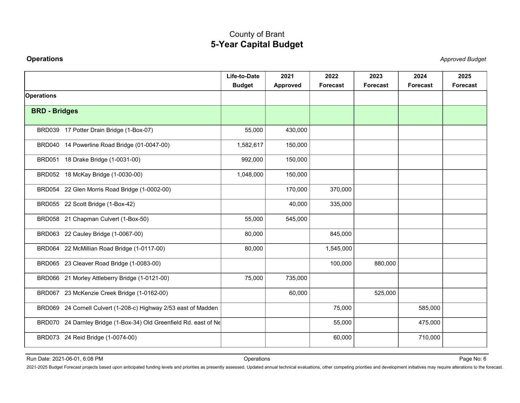<span id="page-6-0"></span>

|                                                                                                                                                                                                                                                                 | <b>County of Brant</b><br><b>5-Year Capital Budget</b> |                  |                         |                  |                         |                        |
|-----------------------------------------------------------------------------------------------------------------------------------------------------------------------------------------------------------------------------------------------------------------|--------------------------------------------------------|------------------|-------------------------|------------------|-------------------------|------------------------|
| <b>Operations</b>                                                                                                                                                                                                                                               |                                                        |                  |                         |                  |                         | <b>Approved Budget</b> |
|                                                                                                                                                                                                                                                                 | Life-to-Date<br><b>Budget</b>                          | 2021<br>Approved | 2022<br><b>Forecast</b> | 2023<br>Forecast | 2024<br><b>Forecast</b> | 2025<br>Forecast       |
| <b>Operations</b>                                                                                                                                                                                                                                               |                                                        |                  |                         |                  |                         |                        |
| <b>BRD - Bridges</b>                                                                                                                                                                                                                                            |                                                        |                  |                         |                  |                         |                        |
| BRD039 17 Potter Drain Bridge (1-Box-07)                                                                                                                                                                                                                        | 55,000                                                 | 430,000          |                         |                  |                         |                        |
| BRD040 14 Powerline Road Bridge (01-0047-00)                                                                                                                                                                                                                    | 1,582,617                                              | 150,000          |                         |                  |                         |                        |
| BRD051 18 Drake Bridge (1-0031-00)                                                                                                                                                                                                                              | 992,000                                                | 150,000          |                         |                  |                         |                        |
| BRD052 18 McKay Bridge (1-0030-00)                                                                                                                                                                                                                              | 1,048,000                                              | 150,000          |                         |                  |                         |                        |
| BRD054 22 Glen Morris Road Bridge (1-0002-00)                                                                                                                                                                                                                   |                                                        | 170,000          | 370,000                 |                  |                         |                        |
| BRD055 22 Scott Bridge (1-Box-42)                                                                                                                                                                                                                               |                                                        | 40,000           | 335,000                 |                  |                         |                        |
| BRD058 21 Chapman Culvert (1-Box-50)                                                                                                                                                                                                                            | 55,000                                                 | 545,000          |                         |                  |                         |                        |
| BRD063 22 Cauley Bridge (1-0067-00)                                                                                                                                                                                                                             | 80,000                                                 |                  | 845,000                 |                  |                         |                        |
| BRD064 22 McMillian Road Bridge (1-0117-00)                                                                                                                                                                                                                     | 80,000                                                 |                  | 1,545,000               |                  |                         |                        |
| BRD065 23 Cleaver Road Bridge (1-0083-00)                                                                                                                                                                                                                       |                                                        |                  | 100,000                 | 880,000          |                         |                        |
| BRD066 21 Morley Attleberry Bridge (1-0121-00)                                                                                                                                                                                                                  | 75,000                                                 | 735,000          |                         |                  |                         |                        |
| BRD067 23 McKenzie Creek Bridge (1-0162-00)                                                                                                                                                                                                                     |                                                        | 60,000           |                         | 525,000          |                         |                        |
| BRD069 24 Cornell Culvert (1-208-c) Highway 2/53 east of Madden                                                                                                                                                                                                 |                                                        |                  | 75,000                  |                  | 585,000                 |                        |
| BRD070 24 Darnley Bridge (1-Box-34) Old Greenfield Rd. east of Ne                                                                                                                                                                                               |                                                        |                  | 55,000                  |                  | 475,000                 |                        |
| BRD073 24 Reid Bridge (1-0074-00)                                                                                                                                                                                                                               |                                                        |                  | 60,000                  |                  | 710,000                 |                        |
|                                                                                                                                                                                                                                                                 |                                                        |                  |                         |                  |                         |                        |
| Run Date: 2021-06-01, 6:08 PM<br>2021-2025 Budget Forecast projects based upon anticipated funding levels and priorities as presently assessed. Updated annual technical evaluations, other competing priorities and development initiatives may require altera | Operations                                             |                  |                         |                  |                         | Page No: 6             |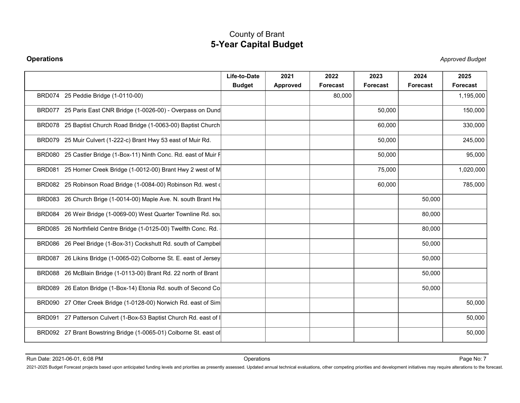|                                                                                                                                                                                                                                | <b>County of Brant</b>        | <b>5-Year Capital Budget</b> |                         |                         |                  |                        |
|--------------------------------------------------------------------------------------------------------------------------------------------------------------------------------------------------------------------------------|-------------------------------|------------------------------|-------------------------|-------------------------|------------------|------------------------|
| <b>Operations</b>                                                                                                                                                                                                              |                               |                              |                         |                         |                  | <b>Approved Budget</b> |
|                                                                                                                                                                                                                                | Life-to-Date<br><b>Budget</b> | 2021<br>Approved             | 2022<br><b>Forecast</b> | 2023<br><b>Forecast</b> | 2024<br>Forecast | 2025<br>Forecast       |
| BRD074 25 Peddie Bridge (1-0110-00)                                                                                                                                                                                            |                               |                              | 80,000                  |                         |                  | 1,195,000              |
| BRD077 25 Paris East CNR Bridge (1-0026-00) - Overpass on Dund                                                                                                                                                                 |                               |                              |                         | 50,000                  |                  | 150,000                |
| BRD078 25 Baptist Church Road Bridge (1-0063-00) Baptist Church                                                                                                                                                                |                               |                              |                         | 60,000                  |                  | 330,000                |
| BRD079 25 Muir Culvert (1-222-c) Brant Hwy 53 east of Muir Rd.                                                                                                                                                                 |                               |                              |                         | 50,000                  |                  | 245,000                |
| BRD080 25 Castler Bridge (1-Box-11) Ninth Conc. Rd. east of Muir F                                                                                                                                                             |                               |                              |                         | 50,000                  |                  | 95,000                 |
| BRD081 25 Horner Creek Bridge (1-0012-00) Brant Hwy 2 west of M                                                                                                                                                                |                               |                              |                         | 75,000                  |                  | 1,020,000              |
| BRD082 25 Robinson Road Bridge (1-0084-00) Robinson Rd. west (                                                                                                                                                                 |                               |                              |                         | 60,000                  |                  | 785,000                |
| BRD083 26 Church Brige (1-0014-00) Maple Ave. N. south Brant Hw                                                                                                                                                                |                               |                              |                         |                         | 50,000           |                        |
| BRD084 26 Weir Bridge (1-0069-00) West Quarter Townline Rd. sol                                                                                                                                                                |                               |                              |                         |                         | 80,000           |                        |
| BRD085 26 Northfield Centre Bridge (1-0125-00) Twelfth Conc. Rd.                                                                                                                                                               |                               |                              |                         |                         | 80,000           |                        |
| BRD086 26 Peel Bridge (1-Box-31) Cockshutt Rd. south of Campbel                                                                                                                                                                |                               |                              |                         |                         | 50,000           |                        |
| BRD087 26 Likins Bridge (1-0065-02) Colborne St. E. east of Jersey                                                                                                                                                             |                               |                              |                         |                         | 50,000           |                        |
| BRD088 26 McBlain Bridge (1-0113-00) Brant Rd. 22 north of Brant                                                                                                                                                               |                               |                              |                         |                         | 50,000           |                        |
| BRD089 26 Eaton Bridge (1-Box-14) Etonia Rd. south of Second Co                                                                                                                                                                |                               |                              |                         |                         | 50,000           |                        |
| BRD090 27 Otter Creek Bridge (1-0128-00) Norwich Rd. east of Sim                                                                                                                                                               |                               |                              |                         |                         |                  | 50,000                 |
| BRD091 27 Patterson Culvert (1-Box-53 Baptist Church Rd. east of I                                                                                                                                                             |                               |                              |                         |                         |                  | 50,000                 |
| BRD092 27 Brant Bowstring Bridge (1-0065-01) Colborne St. east of                                                                                                                                                              |                               |                              |                         |                         |                  | 50,000                 |
|                                                                                                                                                                                                                                |                               |                              |                         |                         |                  |                        |
| 2021-2025 Budget Forecast projects based upon anticipated funding levels and priorities as presently assessed. Updated annual technical evaluations, other competing priorities and development initiatives may require altera |                               |                              |                         |                         |                  |                        |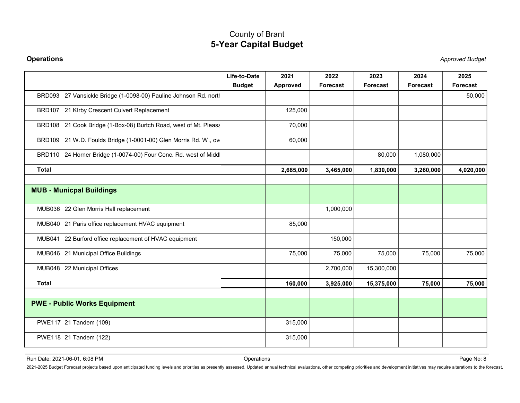| <b>Operations</b>                                                |                               |                  |                         |                         |                  | <b>Approved Budget</b>  |
|------------------------------------------------------------------|-------------------------------|------------------|-------------------------|-------------------------|------------------|-------------------------|
|                                                                  | Life-to-Date<br><b>Budget</b> | 2021<br>Approved | 2022<br><b>Forecast</b> | 2023<br><b>Forecast</b> | 2024<br>Forecast | 2025<br><b>Forecast</b> |
| BRD093 27 Vansickle Bridge (1-0098-00) Pauline Johnson Rd. north |                               |                  |                         |                         |                  | 50,000                  |
| BRD107 21 Klrby Crescent Culvert Replacement                     |                               | 125,000          |                         |                         |                  |                         |
| BRD108 21 Cook Bridge (1-Box-08) Burtch Road, west of Mt. Pleasa |                               | 70,000           |                         |                         |                  |                         |
| BRD109 21 W.D. Foulds Bridge (1-0001-00) Glen Morris Rd. W., ov  |                               | 60,000           |                         |                         |                  |                         |
| BRD110 24 Horner Bridge (1-0074-00) Four Conc. Rd. west of Middl |                               |                  |                         | 80,000                  | 1,080,000        |                         |
| <b>Total</b>                                                     |                               | 2,685,000        | 3,465,000               | 1,830,000               | 3,260,000        | 4,020,000               |
| <b>MUB - Municpal Buildings</b>                                  |                               |                  |                         |                         |                  |                         |
| MUB036 22 Glen Morris Hall replacement                           |                               |                  | 1,000,000               |                         |                  |                         |
| MUB040 21 Paris office replacement HVAC equipment                |                               | 85,000           |                         |                         |                  |                         |
| MUB041 22 Burford office replacement of HVAC equipment           |                               |                  | 150,000                 |                         |                  |                         |
| MUB046 21 Municipal Office Buildings                             |                               | 75,000           | 75,000                  | 75,000                  | 75,000           | 75,000                  |
| MUB048 22 Municipal Offices                                      |                               |                  | 2,700,000               | 15,300,000              |                  |                         |
| <b>Total</b>                                                     |                               | 160,000          | 3,925,000               | 15,375,000              | 75,000           | 75,000                  |
| <b>PWE - Public Works Equipment</b>                              |                               |                  |                         |                         |                  |                         |
| PWE117 21 Tandem (109)                                           |                               | 315,000          |                         |                         |                  |                         |
| PWE118 21 Tandem (122)                                           |                               | 315,000          |                         |                         |                  |                         |
|                                                                  |                               |                  |                         |                         |                  | Page No: 8              |
| Run Date: 2021-06-01, 6:08 PM                                    | Operations                    |                  |                         |                         |                  |                         |

Page No: 8<br>2021-2025 Budget Forecast projects based upon anticipated funding levels and priorities as presently assessed. Updated annual technical evaluations, other competing priorities and development initiatives may req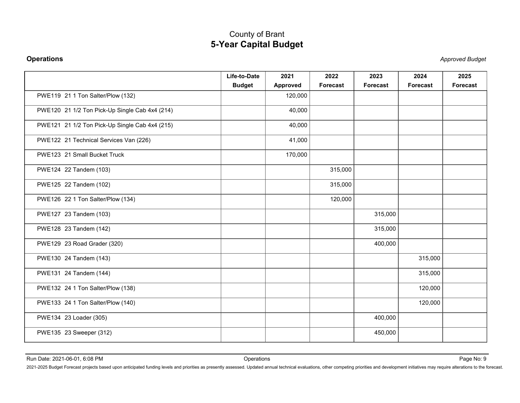| <b>Operations</b>                                                                                                                                                                                                              | <b>5-Year Capital Budget</b>  |                         |                  |                  |                         | <b>Approved Budget</b> |
|--------------------------------------------------------------------------------------------------------------------------------------------------------------------------------------------------------------------------------|-------------------------------|-------------------------|------------------|------------------|-------------------------|------------------------|
|                                                                                                                                                                                                                                |                               |                         |                  |                  |                         |                        |
|                                                                                                                                                                                                                                | Life-to-Date<br><b>Budget</b> | 2021<br><b>Approved</b> | 2022<br>Forecast | 2023<br>Forecast | 2024<br><b>Forecast</b> | 2025<br>Forecast       |
| PWE119 21 1 Ton Salter/Plow (132)                                                                                                                                                                                              |                               | 120,000                 |                  |                  |                         |                        |
| PWE120 21 1/2 Ton Pick-Up Single Cab 4x4 (214)                                                                                                                                                                                 |                               | 40,000                  |                  |                  |                         |                        |
| PWE121 21 1/2 Ton Pick-Up Single Cab 4x4 (215)                                                                                                                                                                                 |                               | 40,000                  |                  |                  |                         |                        |
| PWE122 21 Technical Services Van (226)                                                                                                                                                                                         |                               | 41,000                  |                  |                  |                         |                        |
| PWE123 21 Small Bucket Truck                                                                                                                                                                                                   |                               | 170,000                 |                  |                  |                         |                        |
| PWE124 22 Tandem (103)                                                                                                                                                                                                         |                               |                         | 315,000          |                  |                         |                        |
| PWE125 22 Tandem (102)                                                                                                                                                                                                         |                               |                         | 315,000          |                  |                         |                        |
| PWE126 22 1 Ton Salter/Plow (134)                                                                                                                                                                                              |                               |                         | 120,000          |                  |                         |                        |
| PWE127 23 Tandem (103)                                                                                                                                                                                                         |                               |                         |                  | 315,000          |                         |                        |
| PWE128 23 Tandem (142)                                                                                                                                                                                                         |                               |                         |                  | 315,000          |                         |                        |
| PWE129 23 Road Grader (320)                                                                                                                                                                                                    |                               |                         |                  | 400,000          |                         |                        |
| PWE130 24 Tandem (143)                                                                                                                                                                                                         |                               |                         |                  |                  | 315,000                 |                        |
| PWE131 24 Tandem (144)                                                                                                                                                                                                         |                               |                         |                  |                  | 315,000                 |                        |
| PWE132 24 1 Ton Salter/Plow (138)                                                                                                                                                                                              |                               |                         |                  |                  | 120,000                 |                        |
|                                                                                                                                                                                                                                |                               |                         |                  |                  |                         |                        |
| PWE133 24 1 Ton Salter/Plow (140)                                                                                                                                                                                              |                               |                         |                  |                  | 120,000                 |                        |
| PWE134 23 Loader (305)                                                                                                                                                                                                         |                               |                         |                  | 400,000          |                         |                        |
| PWE135 23 Sweeper (312)                                                                                                                                                                                                        |                               |                         |                  | 450,000          |                         |                        |
| Run Date: 2021-06-01, 6:08 PM                                                                                                                                                                                                  | Operations                    |                         |                  |                  |                         | Page No: 9             |
| 2021-2025 Budget Forecast projects based upon anticipated funding levels and priorities as presently assessed. Updated annual technical evaluations, other competing priorities and development initiatives may require altera |                               |                         |                  |                  |                         |                        |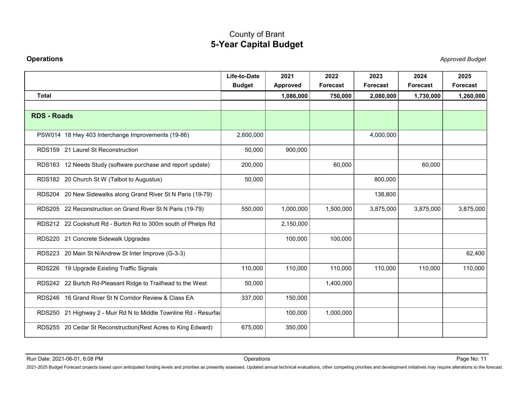| <b>Operations</b><br><b>Approved Budget</b><br>Life-to-Date<br>2021<br>2022<br>2023<br>2024<br>2025<br><b>Budget</b><br>Approved<br>Forecast<br><b>Forecast</b><br><b>Forecast</b><br><b>Forecast</b><br><b>Total</b><br>750,000<br>2,080,000<br>1,730,000<br>1,260,000<br>1,086,000<br><b>RDS - Roads</b><br>2,600,000<br>4,000,000<br>PSW014 18 Hwy 403 Interchange Improvements (19-86)<br>RDS159 21 Laurel St Reconstruction<br>900,000<br>50,000<br>RDS163 12 Needs Study (software purchase and report update)<br>200,000<br>60,000<br>60,000<br>RDS182 20 Church St W (Talbot to Augustus)<br>50,000<br>800,000 |
|------------------------------------------------------------------------------------------------------------------------------------------------------------------------------------------------------------------------------------------------------------------------------------------------------------------------------------------------------------------------------------------------------------------------------------------------------------------------------------------------------------------------------------------------------------------------------------------------------------------------|
|                                                                                                                                                                                                                                                                                                                                                                                                                                                                                                                                                                                                                        |
|                                                                                                                                                                                                                                                                                                                                                                                                                                                                                                                                                                                                                        |
|                                                                                                                                                                                                                                                                                                                                                                                                                                                                                                                                                                                                                        |
|                                                                                                                                                                                                                                                                                                                                                                                                                                                                                                                                                                                                                        |
|                                                                                                                                                                                                                                                                                                                                                                                                                                                                                                                                                                                                                        |
|                                                                                                                                                                                                                                                                                                                                                                                                                                                                                                                                                                                                                        |
|                                                                                                                                                                                                                                                                                                                                                                                                                                                                                                                                                                                                                        |
|                                                                                                                                                                                                                                                                                                                                                                                                                                                                                                                                                                                                                        |
| RDS204 20 New Sidewalks along Grand River St N Paris (19-79)<br>138,800                                                                                                                                                                                                                                                                                                                                                                                                                                                                                                                                                |
| RDS205 22 Reconstruction on Grand River St N Paris (19-79)<br>3,875,000<br>3,875,000<br>550,000<br>1,000,000<br>1,500,000<br>3,875,000                                                                                                                                                                                                                                                                                                                                                                                                                                                                                 |
| RDS212 22 Cockshutt Rd - Burtch Rd to 300m south of Phelps Rd<br>2,150,000                                                                                                                                                                                                                                                                                                                                                                                                                                                                                                                                             |
| RDS220 21 Concrete Sidewalk Upgrades<br>100,000<br>100,000                                                                                                                                                                                                                                                                                                                                                                                                                                                                                                                                                             |
| RDS223 20 Main St N/Andrew St Inter Improve (G-3-3)<br>62,400                                                                                                                                                                                                                                                                                                                                                                                                                                                                                                                                                          |
| RDS226 19 Upgrade Existing Traffic Signals<br>110,000<br>110,000<br>110,000<br>110,000<br>110,000<br>110,000                                                                                                                                                                                                                                                                                                                                                                                                                                                                                                           |
| RDS242 22 Burtch Rd-Pleasant Ridge to Trailhead to the West<br>50,000<br>1,400,000                                                                                                                                                                                                                                                                                                                                                                                                                                                                                                                                     |
| RDS246 16 Grand River St N Corridor Review & Class EA<br>337,000<br>150,000                                                                                                                                                                                                                                                                                                                                                                                                                                                                                                                                            |
| RDS250 21 Highway 2 - Muir Rd N to Middle Townline Rd - Resurfad<br>1,000,000<br>100,000                                                                                                                                                                                                                                                                                                                                                                                                                                                                                                                               |
| 675,000<br>RDS255 20 Cedar St Reconstruction(Rest Acres to King Edward)<br>350,000                                                                                                                                                                                                                                                                                                                                                                                                                                                                                                                                     |
|                                                                                                                                                                                                                                                                                                                                                                                                                                                                                                                                                                                                                        |
| Run Date: 2021-06-01, 6:08 PM<br>Operations<br>Page No: 11<br>2021-2025 Budget Forecast projects based upon anticipated funding levels and priorities as presently assessed. Updated annual technical evaluations, other competing priorities and development initiatives may require altera                                                                                                                                                                                                                                                                                                                           |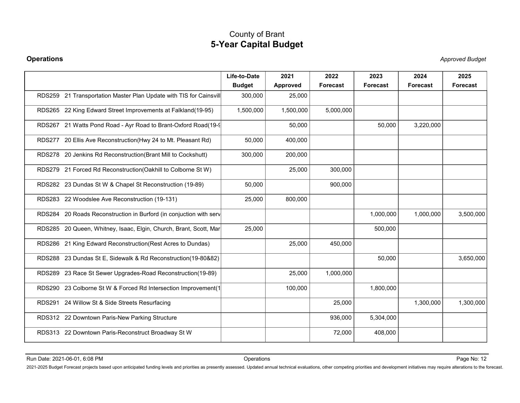| Life-to-Date<br>2021<br>2025<br>2022<br>2024<br><b>Budget</b><br>Approved<br>Forecast<br>Forecast<br><b>Forecast</b><br><b>Forecast</b><br>RDS259 21 Transportation Master Plan Update with TIS for Cainsvill<br>300,000<br>25,000<br>RDS265 22 King Edward Street Improvements at Falkland(19-95)<br>1,500,000<br>1,500,000<br>5,000,000<br>RDS267 21 Watts Pond Road - Ayr Road to Brant-Oxford Road(19-9)<br>50,000<br>50,000<br>3,220,000<br>RDS277 20 Ellis Ave Reconstruction(Hwy 24 to Mt. Pleasant Rd)<br>400,000<br>50,000<br>RDS278 20 Jenkins Rd Reconstruction(Brant Mill to Cockshutt)<br>300,000<br>200,000<br>RDS279 21 Forced Rd Reconstruction(Oakhill to Colborne St W)<br>25,000<br>300,000<br>RDS282 23 Dundas St W & Chapel St Reconstruction (19-89)<br>50,000<br>900,000<br>RDS283 22 Woodslee Ave Reconstruction (19-131)<br>25,000<br>800,000<br>RDS284 20 Roads Reconstruction in Burford (in conjuction with serv<br>1,000,000<br>1,000,000<br>RDS285 20 Queen, Whitney, Isaac, Elgin, Church, Brant, Scott, Mar<br>25,000<br>500,000<br>25,000<br>RDS286 21 King Edward Reconstruction (Rest Acres to Dundas)<br>450,000<br>RDS288 23 Dundas St E, Sidewalk & Rd Reconstruction(19-80&82)<br>50,000<br>RDS289 23 Race St Sewer Upgrades-Road Reconstruction(19-89)<br>25,000<br>1,000,000<br>RDS290 23 Colborne St W & Forced Rd Intersection Improvement(1<br>100,000<br>1,800,000 |  |  |      | <b>Approved Budget</b> |
|-----------------------------------------------------------------------------------------------------------------------------------------------------------------------------------------------------------------------------------------------------------------------------------------------------------------------------------------------------------------------------------------------------------------------------------------------------------------------------------------------------------------------------------------------------------------------------------------------------------------------------------------------------------------------------------------------------------------------------------------------------------------------------------------------------------------------------------------------------------------------------------------------------------------------------------------------------------------------------------------------------------------------------------------------------------------------------------------------------------------------------------------------------------------------------------------------------------------------------------------------------------------------------------------------------------------------------------------------------------------------------------------------------------------|--|--|------|------------------------|
|                                                                                                                                                                                                                                                                                                                                                                                                                                                                                                                                                                                                                                                                                                                                                                                                                                                                                                                                                                                                                                                                                                                                                                                                                                                                                                                                                                                                                 |  |  | 2023 |                        |
|                                                                                                                                                                                                                                                                                                                                                                                                                                                                                                                                                                                                                                                                                                                                                                                                                                                                                                                                                                                                                                                                                                                                                                                                                                                                                                                                                                                                                 |  |  |      |                        |
|                                                                                                                                                                                                                                                                                                                                                                                                                                                                                                                                                                                                                                                                                                                                                                                                                                                                                                                                                                                                                                                                                                                                                                                                                                                                                                                                                                                                                 |  |  |      |                        |
|                                                                                                                                                                                                                                                                                                                                                                                                                                                                                                                                                                                                                                                                                                                                                                                                                                                                                                                                                                                                                                                                                                                                                                                                                                                                                                                                                                                                                 |  |  |      |                        |
|                                                                                                                                                                                                                                                                                                                                                                                                                                                                                                                                                                                                                                                                                                                                                                                                                                                                                                                                                                                                                                                                                                                                                                                                                                                                                                                                                                                                                 |  |  |      |                        |
|                                                                                                                                                                                                                                                                                                                                                                                                                                                                                                                                                                                                                                                                                                                                                                                                                                                                                                                                                                                                                                                                                                                                                                                                                                                                                                                                                                                                                 |  |  |      |                        |
|                                                                                                                                                                                                                                                                                                                                                                                                                                                                                                                                                                                                                                                                                                                                                                                                                                                                                                                                                                                                                                                                                                                                                                                                                                                                                                                                                                                                                 |  |  |      |                        |
|                                                                                                                                                                                                                                                                                                                                                                                                                                                                                                                                                                                                                                                                                                                                                                                                                                                                                                                                                                                                                                                                                                                                                                                                                                                                                                                                                                                                                 |  |  |      |                        |
|                                                                                                                                                                                                                                                                                                                                                                                                                                                                                                                                                                                                                                                                                                                                                                                                                                                                                                                                                                                                                                                                                                                                                                                                                                                                                                                                                                                                                 |  |  |      |                        |
|                                                                                                                                                                                                                                                                                                                                                                                                                                                                                                                                                                                                                                                                                                                                                                                                                                                                                                                                                                                                                                                                                                                                                                                                                                                                                                                                                                                                                 |  |  |      | 3,500,000              |
|                                                                                                                                                                                                                                                                                                                                                                                                                                                                                                                                                                                                                                                                                                                                                                                                                                                                                                                                                                                                                                                                                                                                                                                                                                                                                                                                                                                                                 |  |  |      |                        |
|                                                                                                                                                                                                                                                                                                                                                                                                                                                                                                                                                                                                                                                                                                                                                                                                                                                                                                                                                                                                                                                                                                                                                                                                                                                                                                                                                                                                                 |  |  |      |                        |
|                                                                                                                                                                                                                                                                                                                                                                                                                                                                                                                                                                                                                                                                                                                                                                                                                                                                                                                                                                                                                                                                                                                                                                                                                                                                                                                                                                                                                 |  |  |      | 3,650,000              |
|                                                                                                                                                                                                                                                                                                                                                                                                                                                                                                                                                                                                                                                                                                                                                                                                                                                                                                                                                                                                                                                                                                                                                                                                                                                                                                                                                                                                                 |  |  |      |                        |
|                                                                                                                                                                                                                                                                                                                                                                                                                                                                                                                                                                                                                                                                                                                                                                                                                                                                                                                                                                                                                                                                                                                                                                                                                                                                                                                                                                                                                 |  |  |      |                        |
| RDS291 24 Willow St & Side Streets Resurfacing<br>25,000<br>1,300,000                                                                                                                                                                                                                                                                                                                                                                                                                                                                                                                                                                                                                                                                                                                                                                                                                                                                                                                                                                                                                                                                                                                                                                                                                                                                                                                                           |  |  |      | 1,300,000              |
| RDS312 22 Downtown Paris-New Parking Structure<br>5,304,000<br>936,000                                                                                                                                                                                                                                                                                                                                                                                                                                                                                                                                                                                                                                                                                                                                                                                                                                                                                                                                                                                                                                                                                                                                                                                                                                                                                                                                          |  |  |      |                        |
| 72,000<br>408,000<br>RDS313 22 Downtown Paris-Reconstruct Broadway St W                                                                                                                                                                                                                                                                                                                                                                                                                                                                                                                                                                                                                                                                                                                                                                                                                                                                                                                                                                                                                                                                                                                                                                                                                                                                                                                                         |  |  |      |                        |
|                                                                                                                                                                                                                                                                                                                                                                                                                                                                                                                                                                                                                                                                                                                                                                                                                                                                                                                                                                                                                                                                                                                                                                                                                                                                                                                                                                                                                 |  |  |      |                        |

2021-2021-06-01, 6:08 PM<br>2021-2025 Budget Forecast projects based upon anticipated funding levels and priorities as presently assessed. Updated annual technical evaluations, other competing priorities and development initi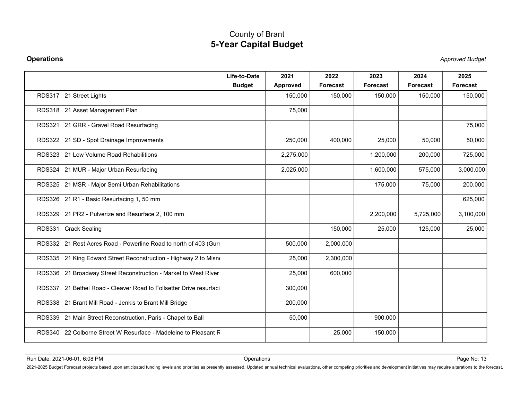| <b>Operations</b>                                                                                                                                                                                                                                               |                               |                  |                  |                         |                  | <b>Approved Budget</b> |
|-----------------------------------------------------------------------------------------------------------------------------------------------------------------------------------------------------------------------------------------------------------------|-------------------------------|------------------|------------------|-------------------------|------------------|------------------------|
|                                                                                                                                                                                                                                                                 | Life-to-Date<br><b>Budget</b> | 2021<br>Approved | 2022<br>Forecast | 2023<br><b>Forecast</b> | 2024<br>Forecast | 2025<br>Forecast       |
| RDS317 21 Street Lights                                                                                                                                                                                                                                         |                               | 150,000          | 150,000          | 150,000                 | 150,000          | 150,000                |
| RDS318 21 Asset Management Plan                                                                                                                                                                                                                                 |                               | 75,000           |                  |                         |                  |                        |
| RDS321 21 GRR - Gravel Road Resurfacing                                                                                                                                                                                                                         |                               |                  |                  |                         |                  | 75,000                 |
| RDS322 21 SD - Spot Drainage Improvements                                                                                                                                                                                                                       |                               | 250,000          | 400,000          | 25,000                  | 50,000           | 50,000                 |
| RDS323 21 Low Volume Road Rehabilitions                                                                                                                                                                                                                         |                               | 2,275,000        |                  | 1,200,000               | 200,000          | 725,000                |
| RDS324 21 MUR - Major Urban Resurfacing                                                                                                                                                                                                                         |                               | 2,025,000        |                  | 1,600,000               | 575,000          | 3,000,000              |
| RDS325 21 MSR - Major Semi Urban Rehabilitations                                                                                                                                                                                                                |                               |                  |                  | 175,000                 | 75,000           | 200,000                |
| RDS326 21 R1 - Basic Resurfacing 1, 50 mm                                                                                                                                                                                                                       |                               |                  |                  |                         |                  | 625,000                |
| RDS329 21 PR2 - Pulverize and Resurface 2, 100 mm                                                                                                                                                                                                               |                               |                  |                  | 2,200,000               | 5,725,000        | 3,100,000              |
| RDS331 Crack Sealing                                                                                                                                                                                                                                            |                               |                  | 150,000          | 25,000                  | 125,000          | 25,000                 |
| RDS332 21 Rest Acres Road - Powerline Road to north of 403 (Gurr                                                                                                                                                                                                |                               | 500,000          | 2,000,000        |                         |                  |                        |
| RDS335 21 King Edward Street Reconstruction - Highway 2 to Misno                                                                                                                                                                                                |                               | 25,000           | 2,300,000        |                         |                  |                        |
| RDS336 21 Broadway Street Reconstruction - Market to West River                                                                                                                                                                                                 |                               | 25,000           | 600,000          |                         |                  |                        |
| RDS337 21 Bethel Road - Cleaver Road to Follsetter Drive resurfaci                                                                                                                                                                                              |                               | 300,000          |                  |                         |                  |                        |
| RDS338 21 Brant Mill Road - Jenkis to Brant Mill Bridge                                                                                                                                                                                                         |                               | 200,000          |                  |                         |                  |                        |
| RDS339 21 Main Street Reconstruction, Paris - Chapel to Ball                                                                                                                                                                                                    |                               | 50,000           |                  | 900,000                 |                  |                        |
| RDS340 22 Colborne Street W Resurface - Madeleine to Pleasant R                                                                                                                                                                                                 |                               |                  | 25,000           | 150,000                 |                  |                        |
|                                                                                                                                                                                                                                                                 |                               |                  |                  |                         |                  |                        |
| Run Date: 2021-06-01, 6:08 PM<br>2021-2025 Budget Forecast projects based upon anticipated funding levels and priorities as presently assessed. Updated annual technical evaluations, other competing priorities and development initiatives may require altera | Operations                    |                  |                  |                         |                  | Page No: 13            |
|                                                                                                                                                                                                                                                                 |                               |                  |                  |                         |                  |                        |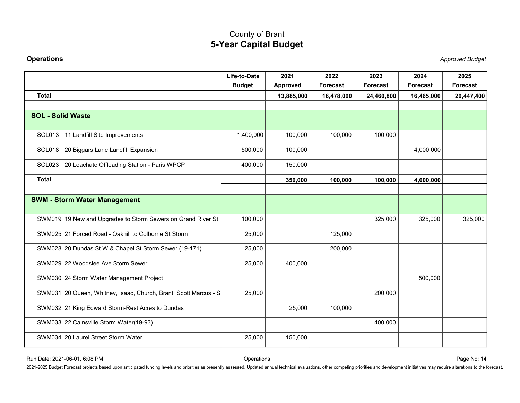| <b>Operations</b>                                                                                                                                                                                                              |                               |                  |                  |                         |                  | <b>Approved Budget</b> |
|--------------------------------------------------------------------------------------------------------------------------------------------------------------------------------------------------------------------------------|-------------------------------|------------------|------------------|-------------------------|------------------|------------------------|
|                                                                                                                                                                                                                                | Life-to-Date<br><b>Budget</b> | 2021<br>Approved | 2022<br>Forecast | 2023<br><b>Forecast</b> | 2024<br>Forecast | 2025<br>Forecast       |
| <b>Total</b>                                                                                                                                                                                                                   |                               | 13,885,000       | 18,478,000       | 24,460,800              | 16,465,000       | 20,447,400             |
| <b>SOL - Solid Waste</b>                                                                                                                                                                                                       |                               |                  |                  |                         |                  |                        |
| SOL013 11 Landfill Site Improvements                                                                                                                                                                                           | 1,400,000                     | 100,000          | 100,000          | 100,000                 |                  |                        |
| SOL018 20 Biggars Lane Landfill Expansion                                                                                                                                                                                      | 500,000                       | 100,000          |                  |                         | 4,000,000        |                        |
| SOL023 20 Leachate Offloading Station - Paris WPCP                                                                                                                                                                             | 400,000                       | 150,000          |                  |                         |                  |                        |
| <b>Total</b>                                                                                                                                                                                                                   |                               | 350,000          | 100,000          | 100,000                 | 4,000,000        |                        |
|                                                                                                                                                                                                                                |                               |                  |                  |                         |                  |                        |
| <b>SWM - Storm Water Management</b>                                                                                                                                                                                            |                               |                  |                  |                         |                  |                        |
| SWM019 19 New and Upgrades to Storm Sewers on Grand River St                                                                                                                                                                   | 100,000                       |                  |                  | 325,000                 | 325,000          | 325,000                |
| SWM025 21 Forced Road - Oakhill to Colborne St Storm                                                                                                                                                                           | 25,000                        |                  | 125,000          |                         |                  |                        |
| SWM028 20 Dundas St W & Chapel St Storm Sewer (19-171)                                                                                                                                                                         | 25,000                        |                  | 200,000          |                         |                  |                        |
| SWM029 22 Woodslee Ave Storm Sewer                                                                                                                                                                                             | 25,000                        | 400,000          |                  |                         |                  |                        |
| SWM030 24 Storm Water Management Project                                                                                                                                                                                       |                               |                  |                  |                         | 500,000          |                        |
| SWM031 20 Queen, Whitney, Isaac, Church, Brant, Scott Marcus - S                                                                                                                                                               | 25,000                        |                  |                  | 200,000                 |                  |                        |
| SWM032 21 King Edward Storm-Rest Acres to Dundas                                                                                                                                                                               |                               | 25,000           | 100,000          |                         |                  |                        |
| SWM033 22 Cainsville Storm Water(19-93)                                                                                                                                                                                        |                               |                  |                  | 400,000                 |                  |                        |
| SWM034 20 Laurel Street Storm Water                                                                                                                                                                                            | 25,000                        | 150,000          |                  |                         |                  |                        |
|                                                                                                                                                                                                                                |                               |                  |                  |                         |                  |                        |
| 2021-2025 Budget Forecast projects based upon anticipated funding levels and priorities as presently assessed. Updated annual technical evaluations, other competing priorities and development initiatives may require altera |                               |                  |                  |                         |                  |                        |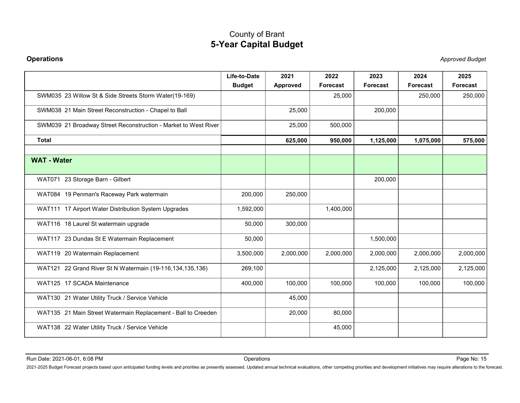| Life-to-Date<br>2021<br>2022<br>2023<br>2024<br>2025<br><b>Budget</b><br>Forecast<br><b>Approved</b><br><b>Forecast</b><br><b>Forecast</b><br>Forecast<br>SWM035 23 Willow St & Side Streets Storm Water(19-169)<br>250,000<br>25,000<br>250,000<br>SWM038 21 Main Street Reconstruction - Chapel to Ball<br>25,000<br>200,000<br>SWM039 21 Broadway Street Reconstruction - Market to West River<br>25,000<br>500,000<br><b>Total</b><br>625,000<br>950,000<br>1,125,000<br>1,075,000<br>575,000<br><b>WAT - Water</b><br>WAT071 23 Storage Barn - Gilbert<br>200,000<br>WAT084 19 Penman's Raceway Park watermain<br>200,000<br>250,000<br>WAT111 17 Airport Water Distribution System Upgrades<br>1,592,000<br>1,400,000<br>300,000<br>WAT116 18 Laurel St watermain upgrade<br>50,000<br>WAT117 23 Dundas St E Watermain Replacement<br>1,500,000<br>50,000<br>WAT119 20 Watermain Replacement<br>3,500,000<br>2,000,000<br>2,000,000<br>2,000,000<br>2,000,000<br>2,000,000<br>WAT121 22 Grand River St N Watermain (19-116, 134, 135, 136)<br>269,100<br>2,125,000<br>2,125,000<br>2,125,000<br>WAT125 17 SCADA Maintenance<br>400,000<br>100,000<br>100,000<br>100,000<br>100,000<br>100,000<br>WAT130 21 Water Utility Truck / Service Vehicle<br>45,000<br>WAT135 21 Main Street Watermain Replacement - Ball to Creeden<br>80,000<br>20,000 |
|-------------------------------------------------------------------------------------------------------------------------------------------------------------------------------------------------------------------------------------------------------------------------------------------------------------------------------------------------------------------------------------------------------------------------------------------------------------------------------------------------------------------------------------------------------------------------------------------------------------------------------------------------------------------------------------------------------------------------------------------------------------------------------------------------------------------------------------------------------------------------------------------------------------------------------------------------------------------------------------------------------------------------------------------------------------------------------------------------------------------------------------------------------------------------------------------------------------------------------------------------------------------------------------------------------------------------------------------------------|
|                                                                                                                                                                                                                                                                                                                                                                                                                                                                                                                                                                                                                                                                                                                                                                                                                                                                                                                                                                                                                                                                                                                                                                                                                                                                                                                                                       |
|                                                                                                                                                                                                                                                                                                                                                                                                                                                                                                                                                                                                                                                                                                                                                                                                                                                                                                                                                                                                                                                                                                                                                                                                                                                                                                                                                       |
|                                                                                                                                                                                                                                                                                                                                                                                                                                                                                                                                                                                                                                                                                                                                                                                                                                                                                                                                                                                                                                                                                                                                                                                                                                                                                                                                                       |
|                                                                                                                                                                                                                                                                                                                                                                                                                                                                                                                                                                                                                                                                                                                                                                                                                                                                                                                                                                                                                                                                                                                                                                                                                                                                                                                                                       |
|                                                                                                                                                                                                                                                                                                                                                                                                                                                                                                                                                                                                                                                                                                                                                                                                                                                                                                                                                                                                                                                                                                                                                                                                                                                                                                                                                       |
|                                                                                                                                                                                                                                                                                                                                                                                                                                                                                                                                                                                                                                                                                                                                                                                                                                                                                                                                                                                                                                                                                                                                                                                                                                                                                                                                                       |
|                                                                                                                                                                                                                                                                                                                                                                                                                                                                                                                                                                                                                                                                                                                                                                                                                                                                                                                                                                                                                                                                                                                                                                                                                                                                                                                                                       |
|                                                                                                                                                                                                                                                                                                                                                                                                                                                                                                                                                                                                                                                                                                                                                                                                                                                                                                                                                                                                                                                                                                                                                                                                                                                                                                                                                       |
|                                                                                                                                                                                                                                                                                                                                                                                                                                                                                                                                                                                                                                                                                                                                                                                                                                                                                                                                                                                                                                                                                                                                                                                                                                                                                                                                                       |
|                                                                                                                                                                                                                                                                                                                                                                                                                                                                                                                                                                                                                                                                                                                                                                                                                                                                                                                                                                                                                                                                                                                                                                                                                                                                                                                                                       |
|                                                                                                                                                                                                                                                                                                                                                                                                                                                                                                                                                                                                                                                                                                                                                                                                                                                                                                                                                                                                                                                                                                                                                                                                                                                                                                                                                       |
|                                                                                                                                                                                                                                                                                                                                                                                                                                                                                                                                                                                                                                                                                                                                                                                                                                                                                                                                                                                                                                                                                                                                                                                                                                                                                                                                                       |
|                                                                                                                                                                                                                                                                                                                                                                                                                                                                                                                                                                                                                                                                                                                                                                                                                                                                                                                                                                                                                                                                                                                                                                                                                                                                                                                                                       |
|                                                                                                                                                                                                                                                                                                                                                                                                                                                                                                                                                                                                                                                                                                                                                                                                                                                                                                                                                                                                                                                                                                                                                                                                                                                                                                                                                       |
|                                                                                                                                                                                                                                                                                                                                                                                                                                                                                                                                                                                                                                                                                                                                                                                                                                                                                                                                                                                                                                                                                                                                                                                                                                                                                                                                                       |
|                                                                                                                                                                                                                                                                                                                                                                                                                                                                                                                                                                                                                                                                                                                                                                                                                                                                                                                                                                                                                                                                                                                                                                                                                                                                                                                                                       |
| 45,000<br>WAT138 22 Water Utility Truck / Service Vehicle                                                                                                                                                                                                                                                                                                                                                                                                                                                                                                                                                                                                                                                                                                                                                                                                                                                                                                                                                                                                                                                                                                                                                                                                                                                                                             |
|                                                                                                                                                                                                                                                                                                                                                                                                                                                                                                                                                                                                                                                                                                                                                                                                                                                                                                                                                                                                                                                                                                                                                                                                                                                                                                                                                       |
| Page No: 15<br>Run Date: 2021-06-01, 6:08 PM<br>Operations                                                                                                                                                                                                                                                                                                                                                                                                                                                                                                                                                                                                                                                                                                                                                                                                                                                                                                                                                                                                                                                                                                                                                                                                                                                                                            |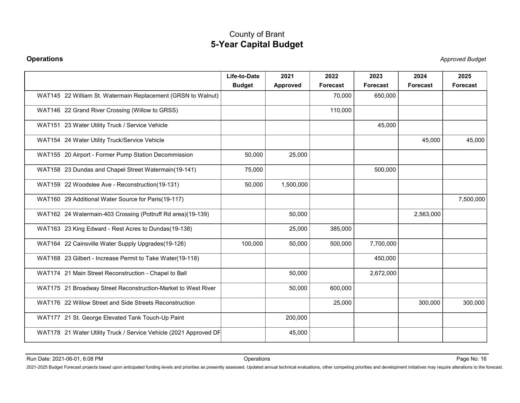|                                                                                                                                                                                                                                                                 | <b>County of Brant</b><br><b>5-Year Capital Budget</b> |                  |                  |                  |                  |                         |
|-----------------------------------------------------------------------------------------------------------------------------------------------------------------------------------------------------------------------------------------------------------------|--------------------------------------------------------|------------------|------------------|------------------|------------------|-------------------------|
| <b>Operations</b>                                                                                                                                                                                                                                               |                                                        |                  |                  |                  |                  | <b>Approved Budget</b>  |
|                                                                                                                                                                                                                                                                 | Life-to-Date<br><b>Budget</b>                          | 2021<br>Approved | 2022<br>Forecast | 2023<br>Forecast | 2024<br>Forecast | 2025<br><b>Forecast</b> |
| WAT145 22 William St. Watermain Replacement (GRSN to Walnut)                                                                                                                                                                                                    |                                                        |                  | 70,000           | 650,000          |                  |                         |
| WAT146 22 Grand River Crossing (Willow to GRSS)                                                                                                                                                                                                                 |                                                        |                  | 110,000          |                  |                  |                         |
| WAT151 23 Water Utility Truck / Service Vehicle                                                                                                                                                                                                                 |                                                        |                  |                  | 45,000           |                  |                         |
| WAT154 24 Water Utility Truck/Service Vehicle                                                                                                                                                                                                                   |                                                        |                  |                  |                  | 45,000           | 45,000                  |
| WAT155 20 Airport - Former Pump Station Decommission                                                                                                                                                                                                            | 50,000                                                 | 25,000           |                  |                  |                  |                         |
| WAT158 23 Dundas and Chapel Street Watermain(19-141)                                                                                                                                                                                                            | 75,000                                                 |                  |                  | 500,000          |                  |                         |
| WAT159 22 Woodslee Ave - Reconstruction(19-131)                                                                                                                                                                                                                 | 50,000                                                 | 1,500,000        |                  |                  |                  |                         |
| WAT160 29 Additional Water Source for Paris(19-117)                                                                                                                                                                                                             |                                                        |                  |                  |                  |                  | 7,500,000               |
| WAT162 24 Watermain-403 Crossing (Pottruff Rd area)(19-139)                                                                                                                                                                                                     |                                                        | 50,000           |                  |                  | 2,563,000        |                         |
| WAT163 23 King Edward - Rest Acres to Dundas(19-138)                                                                                                                                                                                                            |                                                        | 25,000           | 385,000          |                  |                  |                         |
| WAT164 22 Cainsville Water Supply Upgrades(19-126)                                                                                                                                                                                                              | 100,000                                                | 50,000           | 500,000          | 7,700,000        |                  |                         |
| WAT168 23 Gilbert - Increase Permit to Take Water(19-118)                                                                                                                                                                                                       |                                                        |                  |                  | 450,000          |                  |                         |
| WAT174 21 Main Street Reconstruction - Chapel to Ball                                                                                                                                                                                                           |                                                        | 50,000           |                  | 2,672,000        |                  |                         |
| WAT175 21 Broadway Street Reconstruction-Market to West River                                                                                                                                                                                                   |                                                        | 50,000           | 600,000          |                  |                  |                         |
| WAT176 22 Willow Street and Side Streets Reconstruction                                                                                                                                                                                                         |                                                        |                  | 25,000           |                  | 300,000          | 300,000                 |
| WAT177 21 St. George Elevated Tank Touch-Up Paint                                                                                                                                                                                                               |                                                        | 200,000          |                  |                  |                  |                         |
| WAT178 21 Water Utility Truck / Service Vehicle (2021 Approved DF                                                                                                                                                                                               |                                                        | 45,000           |                  |                  |                  |                         |
|                                                                                                                                                                                                                                                                 |                                                        |                  |                  |                  |                  |                         |
| Run Date: 2021-06-01, 6:08 PM<br>2021-2025 Budget Forecast projects based upon anticipated funding levels and priorities as presently assessed. Updated annual technical evaluations, other competing priorities and development initiatives may require altera | Operations                                             |                  |                  |                  |                  | Page No: 16             |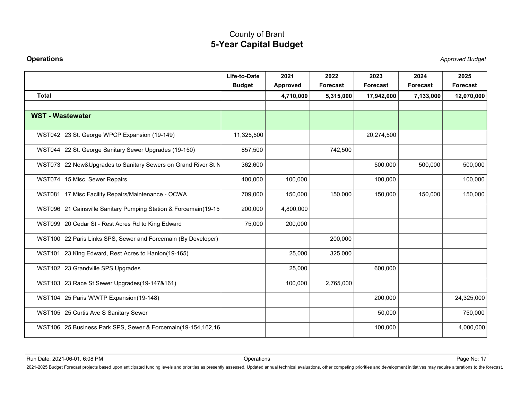| <b>Operations</b>                                                                                                                                                                                                              | <b>5-Year Capital Budget</b>  |                  |                  |                  |                  | <b>Approved Budget</b>  |
|--------------------------------------------------------------------------------------------------------------------------------------------------------------------------------------------------------------------------------|-------------------------------|------------------|------------------|------------------|------------------|-------------------------|
|                                                                                                                                                                                                                                | Life-to-Date<br><b>Budget</b> | 2021<br>Approved | 2022<br>Forecast | 2023<br>Forecast | 2024<br>Forecast | 2025<br><b>Forecast</b> |
| <b>Total</b>                                                                                                                                                                                                                   |                               | 4,710,000        | 5,315,000        | 17,942,000       | 7,133,000        | 12,070,000              |
| <b>WST - Wastewater</b>                                                                                                                                                                                                        |                               |                  |                  |                  |                  |                         |
| WST042 23 St. George WPCP Expansion (19-149)                                                                                                                                                                                   | 11,325,500                    |                  |                  | 20,274,500       |                  |                         |
| WST044 22 St. George Sanitary Sewer Upgrades (19-150)                                                                                                                                                                          | 857,500                       |                  | 742,500          |                  |                  |                         |
| WST073 22 New&Upgrades to Sanitary Sewers on Grand River St N                                                                                                                                                                  | 362,600                       |                  |                  | 500,000          | 500,000          | 500,000                 |
| WST074 15 Misc. Sewer Repairs                                                                                                                                                                                                  | 400,000                       | 100,000          |                  | 100,000          |                  | 100,000                 |
| WST081 17 Misc Facility Repairs/Maintenance - OCWA                                                                                                                                                                             | 709,000                       | 150,000          | 150,000          | 150,000          | 150,000          | 150,000                 |
| WST096 21 Cainsville Sanitary Pumping Station & Forcemain(19-15                                                                                                                                                                | 200,000                       | 4,800,000        |                  |                  |                  |                         |
| WST099 20 Cedar St - Rest Acres Rd to King Edward                                                                                                                                                                              | 75,000                        | 200,000          |                  |                  |                  |                         |
| WST100 22 Paris Links SPS, Sewer and Forcemain (By Developer)                                                                                                                                                                  |                               |                  | 200,000          |                  |                  |                         |
| WST101 23 King Edward, Rest Acres to Hanlon(19-165)                                                                                                                                                                            |                               | 25,000           | 325,000          |                  |                  |                         |
| WST102 23 Grandville SPS Upgrades                                                                                                                                                                                              |                               | 25,000           |                  | 600,000          |                  |                         |
| WST103 23 Race St Sewer Upgrades(19-147&161)                                                                                                                                                                                   |                               | 100,000          | 2,765,000        |                  |                  |                         |
| WST104 25 Paris WWTP Expansion(19-148)                                                                                                                                                                                         |                               |                  |                  | 200,000          |                  | 24,325,000              |
| WST105 25 Curtis Ave S Sanitary Sewer                                                                                                                                                                                          |                               |                  |                  | 50,000           |                  | 750,000                 |
| WST106 25 Business Park SPS, Sewer & Forcemain(19-154,162,16)                                                                                                                                                                  |                               |                  |                  | 100,000          |                  | 4,000,000               |
| Run Date: 2021-06-01, 6:08 PM                                                                                                                                                                                                  | Operations                    |                  |                  |                  |                  | Page No: 17             |
| 2021-2025 Budget Forecast projects based upon anticipated funding levels and priorities as presently assessed. Updated annual technical evaluations, other competing priorities and development initiatives may require altera |                               |                  |                  |                  |                  |                         |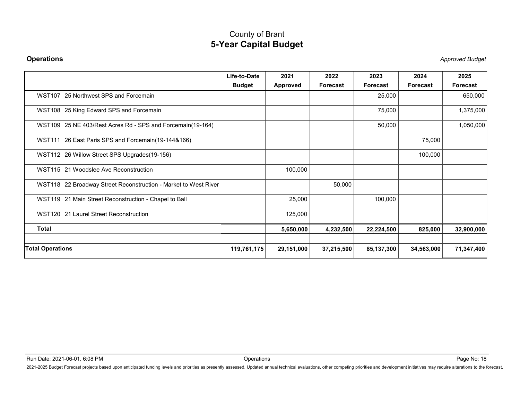|                                                                 | <b>5-Year Capital Budget</b>  |                         |                  |                  |                  |                        |
|-----------------------------------------------------------------|-------------------------------|-------------------------|------------------|------------------|------------------|------------------------|
| <b>Operations</b>                                               |                               |                         |                  |                  |                  | <b>Approved Budget</b> |
|                                                                 | Life-to-Date<br><b>Budget</b> | 2021<br><b>Approved</b> | 2022<br>Forecast | 2023<br>Forecast | 2024<br>Forecast | 2025<br>Forecast       |
| WST107 25 Northwest SPS and Forcemain                           |                               |                         |                  | 25,000           |                  | 650,000                |
| WST108 25 King Edward SPS and Forcemain                         |                               |                         |                  | 75,000           |                  | 1,375,000              |
| WST109 25 NE 403/Rest Acres Rd - SPS and Forcemain(19-164)      |                               |                         |                  | 50,000           |                  | 1,050,000              |
| WST111 26 East Paris SPS and Forcemain(19-144&166)              |                               |                         |                  |                  | 75,000           |                        |
| WST112 26 Willow Street SPS Upgrades(19-156)                    |                               |                         |                  |                  | 100,000          |                        |
| WST115 21 Woodslee Ave Reconstruction                           |                               | 100,000                 |                  |                  |                  |                        |
| WST118 22 Broadway Street Reconstruction - Market to West River |                               |                         | 50,000           |                  |                  |                        |
| WST119 21 Main Street Reconstruction - Chapel to Ball           |                               | 25,000                  |                  | 100,000          |                  |                        |
| WST120 21 Laurel Street Reconstruction                          |                               | 125,000                 |                  |                  |                  |                        |
| <b>Total</b>                                                    |                               | 5,650,000               | 4,232,500        | 22,224,500       | 825,000          | 32,900,000             |
| <b>Total Operations</b>                                         | 119,761,175                   | 29,151,000              | 37,215,500       | 85,137,300       | 34,563,000       | 71,347,400             |
|                                                                 |                               |                         |                  |                  |                  |                        |
|                                                                 |                               |                         |                  |                  |                  |                        |
| Run Date: 2021-06-01, 6:08 PM                                   | Operations                    |                         |                  |                  |                  | Page No: 18            |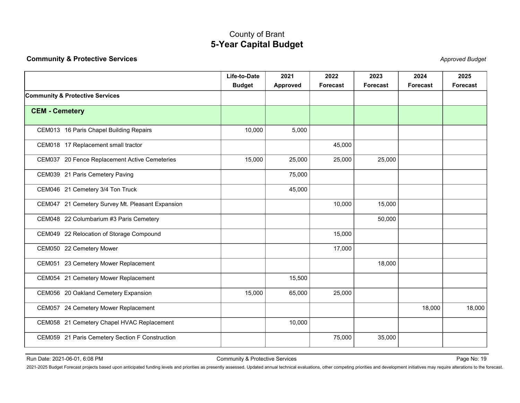<span id="page-19-0"></span>

| <b>Community &amp; Protective Services</b>                                                                                                                                                                                     | <b>5-Year Capital Budget</b>               |                  |                  |                         |                  | <b>Approved Budget</b> |
|--------------------------------------------------------------------------------------------------------------------------------------------------------------------------------------------------------------------------------|--------------------------------------------|------------------|------------------|-------------------------|------------------|------------------------|
|                                                                                                                                                                                                                                |                                            |                  |                  |                         |                  |                        |
|                                                                                                                                                                                                                                | Life-to-Date<br><b>Budget</b>              | 2021<br>Approved | 2022<br>Forecast | 2023<br><b>Forecast</b> | 2024<br>Forecast | 2025<br>Forecast       |
| Community & Protective Services                                                                                                                                                                                                |                                            |                  |                  |                         |                  |                        |
| <b>CEM - Cemetery</b>                                                                                                                                                                                                          |                                            |                  |                  |                         |                  |                        |
| CEM013 16 Paris Chapel Building Repairs                                                                                                                                                                                        | 10,000                                     | 5,000            |                  |                         |                  |                        |
| CEM018 17 Replacement small tractor                                                                                                                                                                                            |                                            |                  | 45,000           |                         |                  |                        |
| CEM037 20 Fence Replacement Active Cemeteries                                                                                                                                                                                  | 15,000                                     | 25,000           | 25,000           | 25,000                  |                  |                        |
| CEM039 21 Paris Cemetery Paving                                                                                                                                                                                                |                                            | 75,000           |                  |                         |                  |                        |
| CEM046 21 Cemetery 3/4 Ton Truck                                                                                                                                                                                               |                                            | 45,000           |                  |                         |                  |                        |
| CEM047 21 Cemetery Survey Mt. Pleasant Expansion                                                                                                                                                                               |                                            |                  | 10,000           | 15,000                  |                  |                        |
| CEM048 22 Columbarium #3 Paris Cemetery                                                                                                                                                                                        |                                            |                  |                  | 50,000                  |                  |                        |
| CEM049 22 Relocation of Storage Compound                                                                                                                                                                                       |                                            |                  | 15,000           |                         |                  |                        |
| CEM050 22 Cemetery Mower                                                                                                                                                                                                       |                                            |                  | 17,000           |                         |                  |                        |
| CEM051 23 Cemetery Mower Replacement                                                                                                                                                                                           |                                            |                  |                  | 18,000                  |                  |                        |
| CEM054 21 Cemetery Mower Replacement                                                                                                                                                                                           |                                            | 15,500           |                  |                         |                  |                        |
| CEM056 20 Oakland Cemetery Expansion                                                                                                                                                                                           | 15,000                                     | 65,000           | 25,000           |                         |                  |                        |
| CEM057 24 Cemetery Mower Replacement                                                                                                                                                                                           |                                            |                  |                  |                         | 18,000           | 18,000                 |
| CEM058 21 Cemetery Chapel HVAC Replacement                                                                                                                                                                                     |                                            | 10,000           |                  |                         |                  |                        |
| CEM059 21 Paris Cemetery Section F Construction                                                                                                                                                                                |                                            |                  | 75,000           | 35,000                  |                  |                        |
| Run Date: 2021-06-01, 6:08 PM                                                                                                                                                                                                  | <b>Community &amp; Protective Services</b> |                  |                  |                         |                  | Page No: 19            |
| 2021-2025 Budget Forecast projects based upon anticipated funding levels and priorities as presently assessed. Updated annual technical evaluations, other competing priorities and development initiatives may require altera |                                            |                  |                  |                         |                  |                        |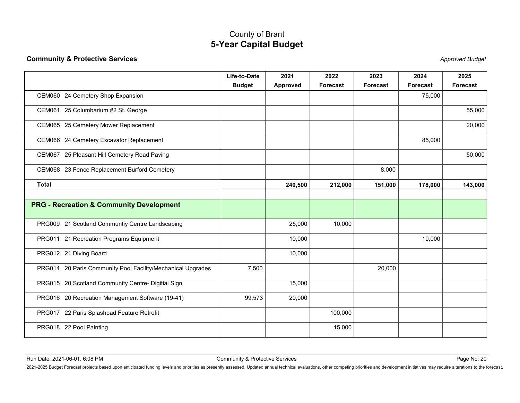|                                                             | <b>5-Year Capital Budget</b>               | County of Brant         |                  |                         |                  |                        |
|-------------------------------------------------------------|--------------------------------------------|-------------------------|------------------|-------------------------|------------------|------------------------|
| <b>Community &amp; Protective Services</b>                  |                                            |                         |                  |                         |                  | <b>Approved Budget</b> |
|                                                             | Life-to-Date<br><b>Budget</b>              | 2021<br><b>Approved</b> | 2022<br>Forecast | 2023<br><b>Forecast</b> | 2024<br>Forecast | 2025<br>Forecast       |
| CEM060 24 Cemetery Shop Expansion                           |                                            |                         |                  |                         | 75,000           |                        |
| CEM061 25 Columbarium #2 St. George                         |                                            |                         |                  |                         |                  | 55,000                 |
| CEM065 25 Cemetery Mower Replacement                        |                                            |                         |                  |                         |                  | 20,000                 |
| CEM066 24 Cemetery Excavator Replacement                    |                                            |                         |                  |                         | 85,000           |                        |
| CEM067 25 Pleasant Hill Cemetery Road Paving                |                                            |                         |                  |                         |                  | 50,000                 |
| CEM068 23 Fence Replacement Burford Cemetery                |                                            |                         |                  | 8,000                   |                  |                        |
| <b>Total</b>                                                |                                            | 240,500                 | 212,000          | 151,000                 | 178,000          | 143,000                |
| <b>PRG - Recreation &amp; Community Development</b>         |                                            |                         |                  |                         |                  |                        |
|                                                             |                                            |                         |                  |                         |                  |                        |
| PRG009 21 Scotland Communtiy Centre Landscaping             |                                            | 25,000                  | 10,000           |                         |                  |                        |
| PRG011 21 Recreation Programs Equipment                     |                                            | 10,000                  |                  |                         | 10,000           |                        |
| PRG012 21 Diving Board                                      |                                            | 10,000                  |                  |                         |                  |                        |
| PRG014 20 Paris Community Pool Facility/Mechanical Upgrades | 7,500                                      |                         |                  | 20,000                  |                  |                        |
| PRG015 20 Scotland Community Centre- Digitial Sign          |                                            | 15,000                  |                  |                         |                  |                        |
| PRG016 20 Recreation Management Software (19-41)            | 99,573                                     | 20,000                  |                  |                         |                  |                        |
| PRG017 22 Paris Splashpad Feature Retrofit                  |                                            |                         | 100,000          |                         |                  |                        |
| PRG018 22 Pool Painting                                     |                                            |                         | 15,000           |                         |                  |                        |
|                                                             |                                            |                         |                  |                         |                  |                        |
|                                                             |                                            |                         |                  |                         |                  |                        |
| Run Date: 2021-06-01, 6:08 PM                               | <b>Community &amp; Protective Services</b> |                         |                  |                         |                  | Page No: 20            |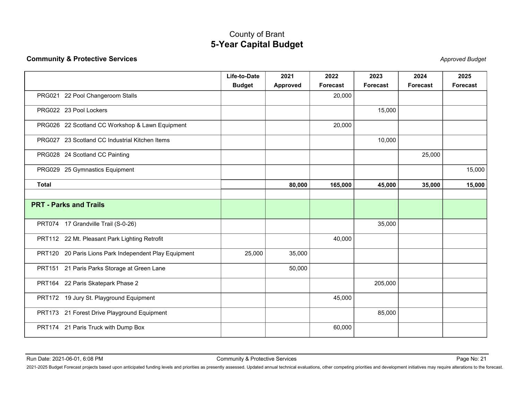| <b>Community &amp; Protective Services</b><br><b>Approved Budget</b><br>Life-to-Date<br>2021<br>2022<br>2023<br>2024<br>2025<br><b>Budget</b><br>Approved<br>Forecast<br><b>Forecast</b><br>Forecast<br>Forecast<br>PRG021 22 Pool Changeroom Stalls<br>20,000<br>PRG022 23 Pool Lockers<br>15,000<br>PRG026 22 Scotland CC Workshop & Lawn Equipment<br>20,000<br>PRG027 23 Scotland CC Industrial Kitchen Items<br>10,000<br>25,000<br>PRG028 24 Scotland CC Painting<br>PRG029 25 Gymnastics Equipment<br>15,000<br><b>Total</b><br>80,000<br>165,000<br>45,000<br>15,000<br>35,000<br><b>PRT - Parks and Trails</b><br>PRT074 17 Grandville Trail (S-0-26)<br>35,000<br>PRT112 22 Mt. Pleasant Park Lighting Retrofit<br>40,000<br>PRT120 20 Paris Lions Park Independent Play Equipment<br>25,000<br>35,000<br>PRT151 21 Paris Parks Storage at Green Lane<br>50,000<br>PRT164 22 Paris Skatepark Phase 2<br>205,000 |
|---------------------------------------------------------------------------------------------------------------------------------------------------------------------------------------------------------------------------------------------------------------------------------------------------------------------------------------------------------------------------------------------------------------------------------------------------------------------------------------------------------------------------------------------------------------------------------------------------------------------------------------------------------------------------------------------------------------------------------------------------------------------------------------------------------------------------------------------------------------------------------------------------------------------------|
|                                                                                                                                                                                                                                                                                                                                                                                                                                                                                                                                                                                                                                                                                                                                                                                                                                                                                                                           |
|                                                                                                                                                                                                                                                                                                                                                                                                                                                                                                                                                                                                                                                                                                                                                                                                                                                                                                                           |
|                                                                                                                                                                                                                                                                                                                                                                                                                                                                                                                                                                                                                                                                                                                                                                                                                                                                                                                           |
|                                                                                                                                                                                                                                                                                                                                                                                                                                                                                                                                                                                                                                                                                                                                                                                                                                                                                                                           |
|                                                                                                                                                                                                                                                                                                                                                                                                                                                                                                                                                                                                                                                                                                                                                                                                                                                                                                                           |
|                                                                                                                                                                                                                                                                                                                                                                                                                                                                                                                                                                                                                                                                                                                                                                                                                                                                                                                           |
|                                                                                                                                                                                                                                                                                                                                                                                                                                                                                                                                                                                                                                                                                                                                                                                                                                                                                                                           |
|                                                                                                                                                                                                                                                                                                                                                                                                                                                                                                                                                                                                                                                                                                                                                                                                                                                                                                                           |
|                                                                                                                                                                                                                                                                                                                                                                                                                                                                                                                                                                                                                                                                                                                                                                                                                                                                                                                           |
|                                                                                                                                                                                                                                                                                                                                                                                                                                                                                                                                                                                                                                                                                                                                                                                                                                                                                                                           |
|                                                                                                                                                                                                                                                                                                                                                                                                                                                                                                                                                                                                                                                                                                                                                                                                                                                                                                                           |
|                                                                                                                                                                                                                                                                                                                                                                                                                                                                                                                                                                                                                                                                                                                                                                                                                                                                                                                           |
|                                                                                                                                                                                                                                                                                                                                                                                                                                                                                                                                                                                                                                                                                                                                                                                                                                                                                                                           |
|                                                                                                                                                                                                                                                                                                                                                                                                                                                                                                                                                                                                                                                                                                                                                                                                                                                                                                                           |
|                                                                                                                                                                                                                                                                                                                                                                                                                                                                                                                                                                                                                                                                                                                                                                                                                                                                                                                           |
| PRT172 19 Jury St. Playground Equipment<br>45,000                                                                                                                                                                                                                                                                                                                                                                                                                                                                                                                                                                                                                                                                                                                                                                                                                                                                         |
| PRT173 21 Forest Drive Playground Equipment<br>85,000                                                                                                                                                                                                                                                                                                                                                                                                                                                                                                                                                                                                                                                                                                                                                                                                                                                                     |
| PRT174 21 Paris Truck with Dump Box<br>60,000                                                                                                                                                                                                                                                                                                                                                                                                                                                                                                                                                                                                                                                                                                                                                                                                                                                                             |
|                                                                                                                                                                                                                                                                                                                                                                                                                                                                                                                                                                                                                                                                                                                                                                                                                                                                                                                           |
| Run Date: 2021-06-01, 6:08 PM<br><b>Community &amp; Protective Services</b><br>Page No: 21                                                                                                                                                                                                                                                                                                                                                                                                                                                                                                                                                                                                                                                                                                                                                                                                                                |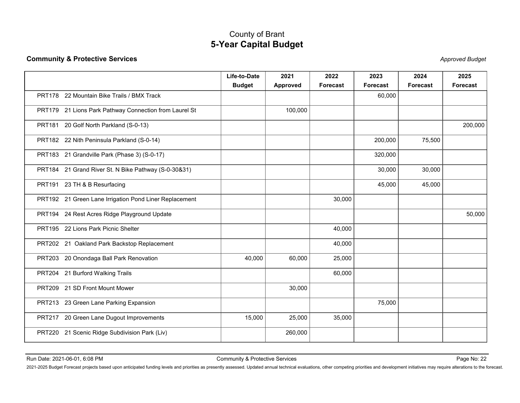|                                                                                                                                                                                                                                                                 | County of Brant<br><b>5-Year Capital Budget</b> |                  |                  |                  |                  |                         |
|-----------------------------------------------------------------------------------------------------------------------------------------------------------------------------------------------------------------------------------------------------------------|-------------------------------------------------|------------------|------------------|------------------|------------------|-------------------------|
| <b>Community &amp; Protective Services</b>                                                                                                                                                                                                                      |                                                 |                  |                  |                  |                  | <b>Approved Budget</b>  |
|                                                                                                                                                                                                                                                                 | Life-to-Date<br><b>Budget</b>                   | 2021<br>Approved | 2022<br>Forecast | 2023<br>Forecast | 2024<br>Forecast | 2025<br><b>Forecast</b> |
| PRT178 22 Mountain Bike Trails / BMX Track                                                                                                                                                                                                                      |                                                 |                  |                  | 60,000           |                  |                         |
| PRT179 21 Lions Park Pathway Connection from Laurel St                                                                                                                                                                                                          |                                                 | 100,000          |                  |                  |                  |                         |
| PRT181 20 Golf North Parkland (S-0-13)                                                                                                                                                                                                                          |                                                 |                  |                  |                  |                  | 200,000                 |
| PRT182 22 Nith Peninsula Parkland (S-0-14)                                                                                                                                                                                                                      |                                                 |                  |                  | 200,000          | 75,500           |                         |
| PRT183 21 Grandville Park (Phase 3) (S-0-17)                                                                                                                                                                                                                    |                                                 |                  |                  | 320,000          |                  |                         |
| PRT184 21 Grand River St. N Bike Pathway (S-0-30&31)                                                                                                                                                                                                            |                                                 |                  |                  | 30,000           | 30,000           |                         |
| PRT191 23 TH & B Resurfacing                                                                                                                                                                                                                                    |                                                 |                  |                  | 45,000           | 45,000           |                         |
| PRT192 21 Green Lane Irrigation Pond Liner Replacement                                                                                                                                                                                                          |                                                 |                  | 30,000           |                  |                  |                         |
| PRT194 24 Rest Acres Ridge Playground Update                                                                                                                                                                                                                    |                                                 |                  |                  |                  |                  | 50,000                  |
| PRT195 22 Lions Park Picnic Shelter                                                                                                                                                                                                                             |                                                 |                  | 40,000           |                  |                  |                         |
| PRT202 21 Oakland Park Backstop Replacement                                                                                                                                                                                                                     |                                                 |                  | 40,000           |                  |                  |                         |
| PRT203 20 Onondaga Ball Park Renovation                                                                                                                                                                                                                         | 40,000                                          | 60,000           | 25,000           |                  |                  |                         |
| PRT204 21 Burford Walking Trails                                                                                                                                                                                                                                |                                                 |                  | 60,000           |                  |                  |                         |
| PRT209 21 SD Front Mount Mower                                                                                                                                                                                                                                  |                                                 | 30,000           |                  |                  |                  |                         |
| PRT213 23 Green Lane Parking Expansion                                                                                                                                                                                                                          |                                                 |                  |                  | 75,000           |                  |                         |
| PRT217 20 Green Lane Dugout Improvements                                                                                                                                                                                                                        | 15,000                                          | 25,000           | 35,000           |                  |                  |                         |
| PRT220 21 Scenic Ridge Subdivision Park (Liv)                                                                                                                                                                                                                   |                                                 | 260,000          |                  |                  |                  |                         |
|                                                                                                                                                                                                                                                                 |                                                 |                  |                  |                  |                  |                         |
|                                                                                                                                                                                                                                                                 |                                                 |                  |                  |                  |                  |                         |
| Run Date: 2021-06-01, 6:08 PM<br>2021-2025 Budget Forecast projects based upon anticipated funding levels and priorities as presently assessed. Updated annual technical evaluations, other competing priorities and development initiatives may require altera | <b>Community &amp; Protective Services</b>      |                  |                  |                  |                  | Page No: 22             |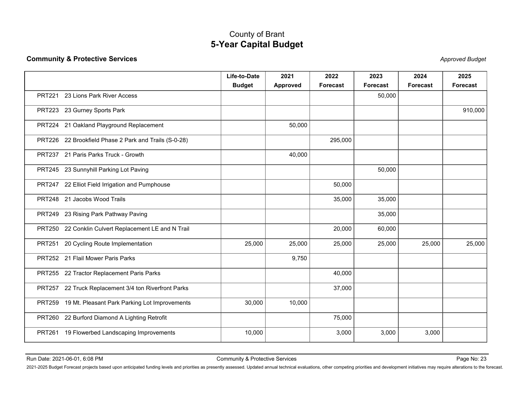|                                                       | <b>5-Year Capital Budget</b>  |                                            |                  |                         |                  |                                                                                                                                                                                                                                |
|-------------------------------------------------------|-------------------------------|--------------------------------------------|------------------|-------------------------|------------------|--------------------------------------------------------------------------------------------------------------------------------------------------------------------------------------------------------------------------------|
| <b>Community &amp; Protective Services</b>            |                               |                                            |                  |                         |                  | <b>Approved Budget</b>                                                                                                                                                                                                         |
|                                                       | Life-to-Date<br><b>Budget</b> | 2021<br><b>Approved</b>                    | 2022<br>Forecast | 2023<br><b>Forecast</b> | 2024<br>Forecast | 2025<br><b>Forecast</b>                                                                                                                                                                                                        |
| 23 Lions Park River Access<br><b>PRT221</b>           |                               |                                            |                  | 50,000                  |                  |                                                                                                                                                                                                                                |
| PRT223 23 Gurney Sports Park                          |                               |                                            |                  |                         |                  | 910,000                                                                                                                                                                                                                        |
| PRT224 21 Oakland Playground Replacement              |                               | 50,000                                     |                  |                         |                  |                                                                                                                                                                                                                                |
| PRT226 22 Brookfield Phase 2 Park and Trails (S-0-28) |                               |                                            | 295,000          |                         |                  |                                                                                                                                                                                                                                |
| PRT237 21 Paris Parks Truck - Growth                  |                               | 40,000                                     |                  |                         |                  |                                                                                                                                                                                                                                |
| PRT245 23 Sunnyhill Parking Lot Paving                |                               |                                            |                  | 50,000                  |                  |                                                                                                                                                                                                                                |
| PRT247 22 Elliot Field Irrigation and Pumphouse       |                               |                                            | 50,000           |                         |                  |                                                                                                                                                                                                                                |
| PRT248 21 Jacobs Wood Trails                          |                               |                                            | 35,000           | 35,000                  |                  |                                                                                                                                                                                                                                |
| PRT249 23 Rising Park Pathway Paving                  |                               |                                            |                  | 35,000                  |                  |                                                                                                                                                                                                                                |
| PRT250 22 Conklin Culvert Replacement LE and N Trail  |                               |                                            | 20,000           | 60,000                  |                  |                                                                                                                                                                                                                                |
| 20 Cycling Route Implementation<br><b>PRT251</b>      | 25,000                        | 25,000                                     | 25,000           | 25,000                  | 25,000           | 25,000                                                                                                                                                                                                                         |
| PRT252 21 Flail Mower Paris Parks                     |                               | 9,750                                      |                  |                         |                  |                                                                                                                                                                                                                                |
| PRT255 22 Tractor Replacement Paris Parks             |                               |                                            | 40,000           |                         |                  |                                                                                                                                                                                                                                |
| PRT257 22 Truck Replacement 3/4 ton Riverfront Parks  |                               |                                            | 37,000           |                         |                  |                                                                                                                                                                                                                                |
| PRT259 19 Mt. Pleasant Park Parking Lot Improvements  | 30,000                        | 10,000                                     |                  |                         |                  |                                                                                                                                                                                                                                |
| PRT260 22 Burford Diamond A Lighting Retrofit         |                               |                                            | 75,000           |                         |                  |                                                                                                                                                                                                                                |
| PRT261 19 Flowerbed Landscaping Improvements          | 10,000                        |                                            | 3,000            | 3,000                   | 3,000            |                                                                                                                                                                                                                                |
|                                                       |                               |                                            |                  |                         |                  |                                                                                                                                                                                                                                |
|                                                       |                               | <b>Community &amp; Protective Services</b> |                  |                         |                  | Page No: 23                                                                                                                                                                                                                    |
|                                                       |                               |                                            |                  |                         |                  | 2021-2025 Budget Forecast projects based upon anticipated funding levels and priorities as presently assessed. Updated annual technical evaluations, other competing priorities and development initiatives may require altera |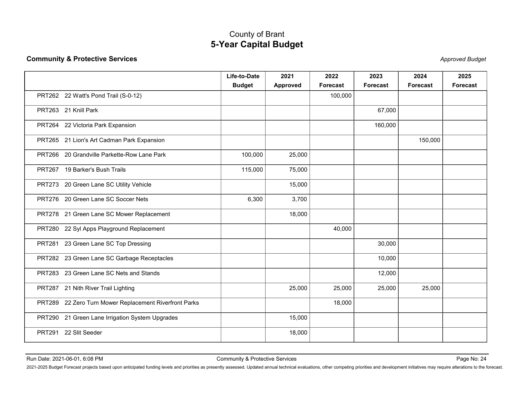| <b>Community &amp; Protective Services</b>                                                                                                                                                                                     | <b>5-Year Capital Budget</b>               |                  |                  |                         |                  | <b>Approved Budget</b> |
|--------------------------------------------------------------------------------------------------------------------------------------------------------------------------------------------------------------------------------|--------------------------------------------|------------------|------------------|-------------------------|------------------|------------------------|
|                                                                                                                                                                                                                                |                                            |                  |                  |                         |                  |                        |
|                                                                                                                                                                                                                                | Life-to-Date<br><b>Budget</b>              | 2021<br>Approved | 2022<br>Forecast | 2023<br><b>Forecast</b> | 2024<br>Forecast | 2025<br>Forecast       |
| PRT262 22 Watt's Pond Trail (S-0-12)                                                                                                                                                                                           |                                            |                  | 100,000          |                         |                  |                        |
| PRT263 21 Knill Park                                                                                                                                                                                                           |                                            |                  |                  | 67,000                  |                  |                        |
| PRT264 22 Victoria Park Expansion                                                                                                                                                                                              |                                            |                  |                  | 160,000                 |                  |                        |
| PRT265 21 Lion's Art Cadman Park Expansion                                                                                                                                                                                     |                                            |                  |                  |                         | 150,000          |                        |
| PRT266 20 Grandville Parkette-Row Lane Park                                                                                                                                                                                    | 100,000                                    | 25,000           |                  |                         |                  |                        |
| PRT267 19 Barker's Bush Trails                                                                                                                                                                                                 | 115,000                                    | 75,000           |                  |                         |                  |                        |
| PRT273 20 Green Lane SC Utility Vehicle                                                                                                                                                                                        |                                            | 15,000           |                  |                         |                  |                        |
| PRT276 20 Green Lane SC Soccer Nets                                                                                                                                                                                            | 6,300                                      | 3,700            |                  |                         |                  |                        |
| PRT278 21 Green Lane SC Mower Replacement                                                                                                                                                                                      |                                            | 18,000           |                  |                         |                  |                        |
| PRT280 22 Syl Apps Playground Replacement                                                                                                                                                                                      |                                            |                  | 40,000           |                         |                  |                        |
| PRT281 23 Green Lane SC Top Dressing                                                                                                                                                                                           |                                            |                  |                  | 30,000                  |                  |                        |
| PRT282 23 Green Lane SC Garbage Receptacles                                                                                                                                                                                    |                                            |                  |                  | 10,000                  |                  |                        |
| PRT283 23 Green Lane SC Nets and Stands                                                                                                                                                                                        |                                            |                  |                  | 12,000                  |                  |                        |
| PRT287 21 Nith River Trail Lighting                                                                                                                                                                                            |                                            | 25,000           | 25,000           | 25,000                  | 25,000           |                        |
| PRT289 22 Zero Turn Mower Replacement Riverfront Parks                                                                                                                                                                         |                                            |                  | 18,000           |                         |                  |                        |
| PRT290 21 Green Lane Irrigation System Upgrades                                                                                                                                                                                |                                            | 15,000           |                  |                         |                  |                        |
| PRT291 22 Slit Seeder                                                                                                                                                                                                          |                                            | 18,000           |                  |                         |                  |                        |
|                                                                                                                                                                                                                                |                                            |                  |                  |                         |                  |                        |
| Run Date: 2021-06-01, 6:08 PM                                                                                                                                                                                                  | <b>Community &amp; Protective Services</b> |                  |                  |                         |                  | Page No: 24            |
| 2021-2025 Budget Forecast projects based upon anticipated funding levels and priorities as presently assessed. Updated annual technical evaluations, other competing priorities and development initiatives may require altera |                                            |                  |                  |                         |                  |                        |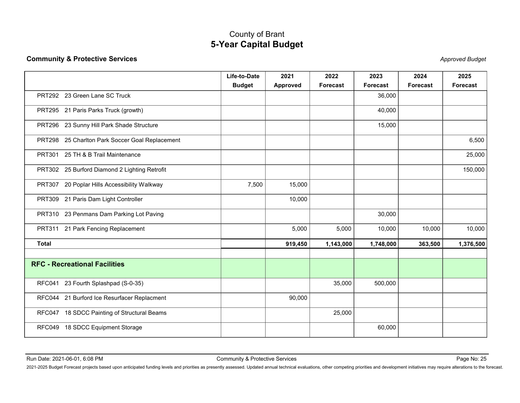|                                                 | <b>5-Year Capital Budget</b>               |                  |                         |                         |                                                                                                                                                                                                                                |                        |
|-------------------------------------------------|--------------------------------------------|------------------|-------------------------|-------------------------|--------------------------------------------------------------------------------------------------------------------------------------------------------------------------------------------------------------------------------|------------------------|
| <b>Community &amp; Protective Services</b>      |                                            |                  |                         |                         |                                                                                                                                                                                                                                | <b>Approved Budget</b> |
|                                                 | Life-to-Date<br><b>Budget</b>              | 2021<br>Approved | 2022<br><b>Forecast</b> | 2023<br><b>Forecast</b> | 2024<br>Forecast                                                                                                                                                                                                               | 2025<br>Forecast       |
| PRT292 23 Green Lane SC Truck                   |                                            |                  |                         | 36,000                  |                                                                                                                                                                                                                                |                        |
| PRT295 21 Paris Parks Truck (growth)            |                                            |                  |                         | 40,000                  |                                                                                                                                                                                                                                |                        |
| PRT296 23 Sunny Hill Park Shade Structure       |                                            |                  |                         | 15,000                  |                                                                                                                                                                                                                                |                        |
| PRT298 25 Charlton Park Soccer Goal Replacement |                                            |                  |                         |                         |                                                                                                                                                                                                                                | 6,500                  |
| PRT301 25 TH & B Trail Maintenance              |                                            |                  |                         |                         |                                                                                                                                                                                                                                | 25,000                 |
| PRT302 25 Burford Diamond 2 Lighting Retrofit   |                                            |                  |                         |                         |                                                                                                                                                                                                                                | 150,000                |
| PRT307 20 Poplar Hills Accessibility Walkway    | 7,500                                      | 15,000           |                         |                         |                                                                                                                                                                                                                                |                        |
| PRT309 21 Paris Dam Light Controller            |                                            | 10,000           |                         |                         |                                                                                                                                                                                                                                |                        |
| PRT310 23 Penmans Dam Parking Lot Paving        |                                            |                  |                         | 30,000                  |                                                                                                                                                                                                                                |                        |
| PRT311 21 Park Fencing Replacement              |                                            | 5,000            | 5,000                   | 10,000                  | 10,000                                                                                                                                                                                                                         | 10,000                 |
| <b>Total</b>                                    |                                            | 919,450          | 1,143,000               | 1,748,000               | 363,500                                                                                                                                                                                                                        | 1,376,500              |
|                                                 |                                            |                  |                         |                         |                                                                                                                                                                                                                                |                        |
| <b>RFC - Recreational Facilities</b>            |                                            |                  |                         |                         |                                                                                                                                                                                                                                |                        |
| RFC041 23 Fourth Splashpad (S-0-35)             |                                            |                  | 35,000                  | 500,000                 |                                                                                                                                                                                                                                |                        |
| RFC044 21 Burford Ice Resurfacer Replacment     |                                            | 90,000           |                         |                         |                                                                                                                                                                                                                                |                        |
| RFC047 18 SDCC Painting of Structural Beams     |                                            |                  | 25,000                  |                         |                                                                                                                                                                                                                                |                        |
| RFC049 18 SDCC Equipment Storage                |                                            |                  |                         | 60,000                  |                                                                                                                                                                                                                                |                        |
|                                                 |                                            |                  |                         |                         |                                                                                                                                                                                                                                |                        |
| Run Date: 2021-06-01, 6:08 PM                   | <b>Community &amp; Protective Services</b> |                  |                         |                         |                                                                                                                                                                                                                                | Page No: 25            |
|                                                 |                                            |                  |                         |                         | 2021-2025 Budget Forecast projects based upon anticipated funding levels and priorities as presently assessed. Updated annual technical evaluations, other competing priorities and development initiatives may require altera |                        |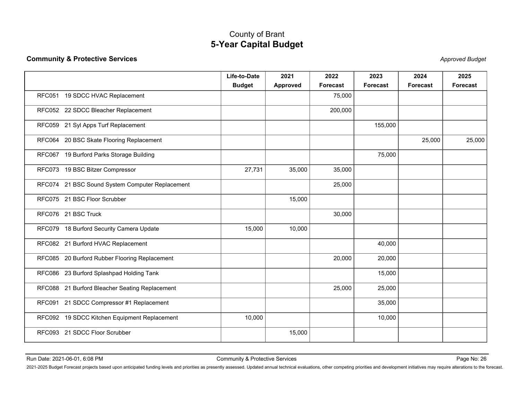|                                                 | <b>5-Year Capital Budget</b>  |                  |                  |                         |                  |                        |
|-------------------------------------------------|-------------------------------|------------------|------------------|-------------------------|------------------|------------------------|
| <b>Community &amp; Protective Services</b>      |                               |                  |                  |                         |                  | <b>Approved Budget</b> |
|                                                 | Life-to-Date<br><b>Budget</b> | 2021<br>Approved | 2022<br>Forecast | 2023<br><b>Forecast</b> | 2024<br>Forecast | 2025<br>Forecast       |
| RFC051 19 SDCC HVAC Replacement                 |                               |                  | 75,000           |                         |                  |                        |
| RFC052 22 SDCC Bleacher Replacement             |                               |                  | 200,000          |                         |                  |                        |
| RFC059 21 Syl Apps Turf Replacement             |                               |                  |                  | 155,000                 |                  |                        |
| RFC064 20 BSC Skate Flooring Replacement        |                               |                  |                  |                         | 25,000           | 25,000                 |
| RFC067 19 Burford Parks Storage Building        |                               |                  |                  | 75,000                  |                  |                        |
| RFC073 19 BSC Bitzer Compressor                 | 27,731                        | 35,000           | 35,000           |                         |                  |                        |
| RFC074 21 BSC Sound System Computer Replacement |                               |                  | 25,000           |                         |                  |                        |
| RFC075 21 BSC Floor Scrubber                    |                               | 15,000           |                  |                         |                  |                        |
| RFC076 21 BSC Truck                             |                               |                  | 30,000           |                         |                  |                        |
| RFC079 18 Burford Security Camera Update        | 15,000                        | 10,000           |                  |                         |                  |                        |
| RFC082 21 Burford HVAC Replacement              |                               |                  |                  | 40,000                  |                  |                        |
| RFC085 20 Burford Rubber Flooring Replacement   |                               |                  | 20,000           | 20,000                  |                  |                        |
| RFC086 23 Burford Splashpad Holding Tank        |                               |                  |                  | 15,000                  |                  |                        |
| RFC088 21 Burford Bleacher Seating Replacement  |                               |                  | 25,000           | 25,000                  |                  |                        |
| RFC091 21 SDCC Compressor #1 Replacement        |                               |                  |                  | 35,000                  |                  |                        |
| RFC092 19 SDCC Kitchen Equipment Replacement    | 10,000                        |                  |                  | 10,000                  |                  |                        |
| RFC093 21 SDCC Floor Scrubber                   |                               | 15,000           |                  |                         |                  |                        |
|                                                 |                               |                  |                  |                         |                  |                        |
|                                                 |                               |                  |                  |                         |                  |                        |
|                                                 |                               |                  |                  |                         |                  |                        |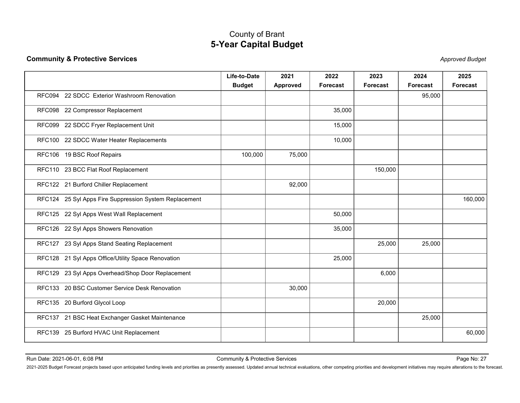|                                                                                                                                                                                                                                | <b>5-Year Capital Budget</b>               |                         |                  |                         |                  |                        |
|--------------------------------------------------------------------------------------------------------------------------------------------------------------------------------------------------------------------------------|--------------------------------------------|-------------------------|------------------|-------------------------|------------------|------------------------|
| <b>Community &amp; Protective Services</b>                                                                                                                                                                                     |                                            |                         |                  |                         |                  | <b>Approved Budget</b> |
|                                                                                                                                                                                                                                | Life-to-Date<br><b>Budget</b>              | 2021<br><b>Approved</b> | 2022<br>Forecast | 2023<br><b>Forecast</b> | 2024<br>Forecast | 2025<br>Forecast       |
| RFC094 22 SDCC Exterior Washroom Renovation                                                                                                                                                                                    |                                            |                         |                  |                         | 95,000           |                        |
| RFC098 22 Compressor Replacement                                                                                                                                                                                               |                                            |                         | 35,000           |                         |                  |                        |
| RFC099 22 SDCC Fryer Replacement Unit                                                                                                                                                                                          |                                            |                         | 15,000           |                         |                  |                        |
| RFC100 22 SDCC Water Heater Replacements                                                                                                                                                                                       |                                            |                         | 10,000           |                         |                  |                        |
| RFC106 19 BSC Roof Repairs                                                                                                                                                                                                     | 100,000                                    | 75,000                  |                  |                         |                  |                        |
| RFC110 23 BCC Flat Roof Replacement                                                                                                                                                                                            |                                            |                         |                  | 150,000                 |                  |                        |
| RFC122 21 Burford Chiller Replacement                                                                                                                                                                                          |                                            | 92,000                  |                  |                         |                  |                        |
| RFC124 25 Syl Apps Fire Suppression System Replacement                                                                                                                                                                         |                                            |                         |                  |                         |                  | 160,000                |
| RFC125 22 Syl Apps West Wall Replacement                                                                                                                                                                                       |                                            |                         | 50,000           |                         |                  |                        |
| RFC126 22 Syl Apps Showers Renovation                                                                                                                                                                                          |                                            |                         | 35,000           |                         |                  |                        |
| RFC127 23 Syl Apps Stand Seating Replacement                                                                                                                                                                                   |                                            |                         |                  | 25,000                  | 25,000           |                        |
| RFC128 21 Syl Apps Office/Utility Space Renovation                                                                                                                                                                             |                                            |                         | 25,000           |                         |                  |                        |
| RFC129 23 Syl Apps Overhead/Shop Door Replacement                                                                                                                                                                              |                                            |                         |                  | 6,000                   |                  |                        |
| RFC133 20 BSC Customer Service Desk Renovation                                                                                                                                                                                 |                                            | 30,000                  |                  |                         |                  |                        |
| RFC135 20 Burford Glycol Loop                                                                                                                                                                                                  |                                            |                         |                  | 20,000                  |                  |                        |
| RFC137 21 BSC Heat Exchanger Gasket Maintenance                                                                                                                                                                                |                                            |                         |                  |                         | 25,000           |                        |
| RFC139 25 Burford HVAC Unit Replacement                                                                                                                                                                                        |                                            |                         |                  |                         |                  | 60,000                 |
|                                                                                                                                                                                                                                |                                            |                         |                  |                         |                  |                        |
| Run Date: 2021-06-01, 6:08 PM                                                                                                                                                                                                  | <b>Community &amp; Protective Services</b> |                         |                  |                         |                  | Page No: 27            |
| 2021-2025 Budget Forecast projects based upon anticipated funding levels and priorities as presently assessed. Updated annual technical evaluations, other competing priorities and development initiatives may require altera |                                            |                         |                  |                         |                  |                        |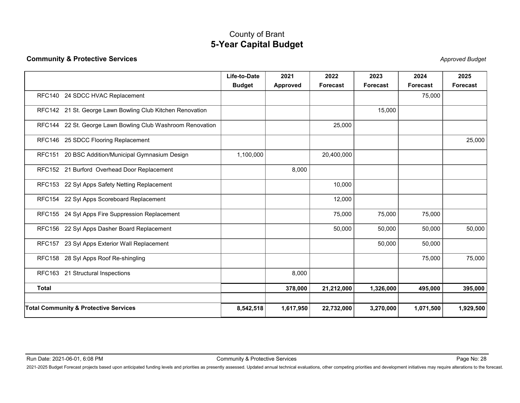|                                                            | <b>5-Year Capital Budget</b>  |                  |                  |                         |                  |                        |
|------------------------------------------------------------|-------------------------------|------------------|------------------|-------------------------|------------------|------------------------|
| <b>Community &amp; Protective Services</b>                 |                               |                  |                  |                         |                  | <b>Approved Budget</b> |
|                                                            | Life-to-Date<br><b>Budget</b> | 2021<br>Approved | 2022<br>Forecast | 2023<br><b>Forecast</b> | 2024<br>Forecast | 2025<br>Forecast       |
| RFC140 24 SDCC HVAC Replacement                            |                               |                  |                  |                         | 75,000           |                        |
| RFC142 21 St. George Lawn Bowling Club Kitchen Renovation  |                               |                  |                  | 15,000                  |                  |                        |
| RFC144 22 St. George Lawn Bowling Club Washroom Renovation |                               |                  | 25,000           |                         |                  |                        |
| RFC146 25 SDCC Flooring Replacement                        |                               |                  |                  |                         |                  | 25,000                 |
| RFC151 20 BSC Addition/Municipal Gymnasium Design          | 1,100,000                     |                  | 20,400,000       |                         |                  |                        |
| RFC152 21 Burford Overhead Door Replacement                |                               | 8,000            |                  |                         |                  |                        |
| RFC153 22 Syl Apps Safety Netting Replacement              |                               |                  | 10,000           |                         |                  |                        |
| RFC154 22 Syl Apps Scoreboard Replacement                  |                               |                  | 12,000           |                         |                  |                        |
| RFC155 24 Syl Apps Fire Suppression Replacement            |                               |                  | 75,000           | 75,000                  | 75,000           |                        |
| RFC156 22 Syl Apps Dasher Board Replacement                |                               |                  | 50,000           | 50,000                  | 50,000           | 50,000                 |
| RFC157 23 Syl Apps Exterior Wall Replacement               |                               |                  |                  | 50,000                  | 50,000           |                        |
| RFC158 28 Syl Apps Roof Re-shingling                       |                               |                  |                  |                         | 75,000           | 75,000                 |
| RFC163 21 Structural Inspections                           |                               | 8,000            |                  |                         |                  |                        |
| <b>Total</b>                                               |                               | 378,000          | 21,212,000       | 1,326,000               | 495,000          | 395,000                |
|                                                            |                               |                  |                  |                         |                  |                        |
| <b>Total Community &amp; Protective Services</b>           | 8,542,518                     | 1,617,950        | 22,732,000       | 3,270,000               | 1,071,500        | 1,929,500              |
|                                                            |                               |                  |                  |                         |                  |                        |
|                                                            |                               |                  |                  |                         |                  |                        |
|                                                            |                               |                  |                  |                         |                  |                        |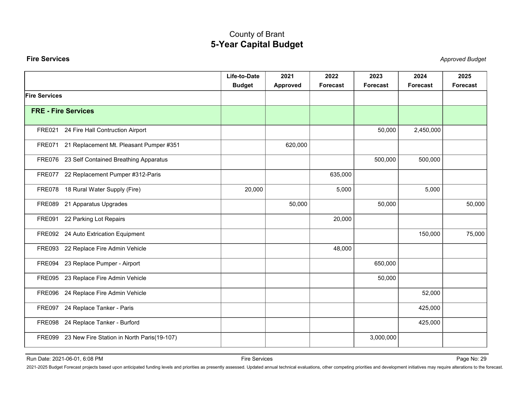<span id="page-29-0"></span>

| <b>Fire Services</b>                                                                                                                                                                                                           | <b>5-Year Capital Budget</b>  |                  |                  |                         |                  | <b>Approved Budget</b> |
|--------------------------------------------------------------------------------------------------------------------------------------------------------------------------------------------------------------------------------|-------------------------------|------------------|------------------|-------------------------|------------------|------------------------|
|                                                                                                                                                                                                                                |                               |                  |                  |                         |                  |                        |
|                                                                                                                                                                                                                                | Life-to-Date<br><b>Budget</b> | 2021<br>Approved | 2022<br>Forecast | 2023<br><b>Forecast</b> | 2024<br>Forecast | 2025<br>Forecast       |
| <b>Fire Services</b>                                                                                                                                                                                                           |                               |                  |                  |                         |                  |                        |
| <b>FRE - Fire Services</b>                                                                                                                                                                                                     |                               |                  |                  |                         |                  |                        |
| FRE021 24 Fire Hall Contruction Airport                                                                                                                                                                                        |                               |                  |                  | 50,000                  | 2,450,000        |                        |
| FRE071 21 Replacement Mt. Pleasant Pumper #351                                                                                                                                                                                 |                               | 620,000          |                  |                         |                  |                        |
| FRE076 23 Self Contained Breathing Apparatus                                                                                                                                                                                   |                               |                  |                  | 500,000                 | 500,000          |                        |
| FRE077 22 Replacement Pumper #312-Paris                                                                                                                                                                                        |                               |                  | 635,000          |                         |                  |                        |
| FRE078 18 Rural Water Supply (Fire)                                                                                                                                                                                            | 20,000                        |                  | 5,000            |                         | 5,000            |                        |
| FRE089 21 Apparatus Upgrades                                                                                                                                                                                                   |                               | 50,000           |                  | 50,000                  |                  | 50,000                 |
| FRE091 22 Parking Lot Repairs                                                                                                                                                                                                  |                               |                  | 20,000           |                         |                  |                        |
| FRE092 24 Auto Extrication Equipment                                                                                                                                                                                           |                               |                  |                  |                         | 150,000          | 75,000                 |
| FRE093 22 Replace Fire Admin Vehicle                                                                                                                                                                                           |                               |                  | 48,000           |                         |                  |                        |
| FRE094 23 Replace Pumper - Airport                                                                                                                                                                                             |                               |                  |                  | 650,000                 |                  |                        |
| FRE095 23 Replace Fire Admin Vehicle                                                                                                                                                                                           |                               |                  |                  | 50,000                  |                  |                        |
| FRE096 24 Replace Fire Admin Vehicle                                                                                                                                                                                           |                               |                  |                  |                         | 52,000           |                        |
| FRE097 24 Replace Tanker - Paris                                                                                                                                                                                               |                               |                  |                  |                         | 425,000          |                        |
| FRE098 24 Replace Tanker - Burford                                                                                                                                                                                             |                               |                  |                  |                         | 425,000          |                        |
| FRE099 23 New Fire Station in North Paris(19-107)                                                                                                                                                                              |                               |                  |                  | 3,000,000               |                  |                        |
| Run Date: 2021-06-01, 6:08 PM                                                                                                                                                                                                  | Fire Services                 |                  |                  |                         |                  | Page No: 29            |
| 2021-2025 Budget Forecast projects based upon anticipated funding levels and priorities as presently assessed. Updated annual technical evaluations, other competing priorities and development initiatives may require altera |                               |                  |                  |                         |                  |                        |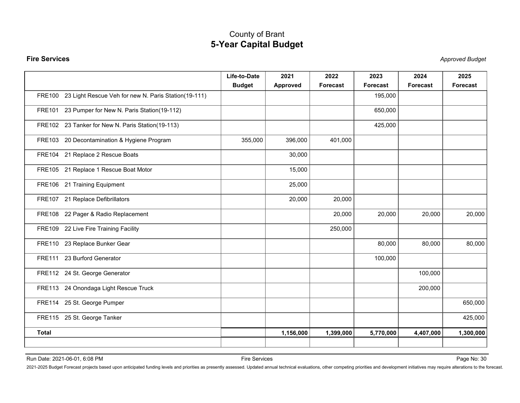|                                                             | County of Brant<br><b>5-Year Capital Budget</b> |                  |                  |                         |                  |                        |
|-------------------------------------------------------------|-------------------------------------------------|------------------|------------------|-------------------------|------------------|------------------------|
| <b>Fire Services</b>                                        |                                                 |                  |                  |                         |                  | <b>Approved Budget</b> |
|                                                             | Life-to-Date<br><b>Budget</b>                   | 2021<br>Approved | 2022<br>Forecast | 2023<br><b>Forecast</b> | 2024<br>Forecast | 2025<br>Forecast       |
| FRE100 23 Light Rescue Veh for new N. Paris Station(19-111) |                                                 |                  |                  | 195,000                 |                  |                        |
| FRE101 23 Pumper for New N. Paris Station(19-112)           |                                                 |                  |                  | 650,000                 |                  |                        |
| FRE102 23 Tanker for New N. Paris Station(19-113)           |                                                 |                  |                  | 425,000                 |                  |                        |
| FRE103 20 Decontamination & Hygiene Program                 | 355,000                                         | 396,000          | 401,000          |                         |                  |                        |
| FRE104 21 Replace 2 Rescue Boats                            |                                                 | 30,000           |                  |                         |                  |                        |
| FRE105 21 Replace 1 Rescue Boat Motor                       |                                                 | 15,000           |                  |                         |                  |                        |
| FRE106 21 Training Equipment                                |                                                 | 25,000           |                  |                         |                  |                        |
| FRE107 21 Replace Defibrillators                            |                                                 | 20,000           | 20,000           |                         |                  |                        |
| FRE108 22 Pager & Radio Replacement                         |                                                 |                  | 20,000           | 20,000                  | 20,000           | 20,000                 |
| FRE109 22 Live Fire Training Facility                       |                                                 |                  | 250,000          |                         |                  |                        |
| FRE110 23 Replace Bunker Gear                               |                                                 |                  |                  | 80,000                  | 80,000           | 80,000                 |
| FRE111 23 Burford Generator                                 |                                                 |                  |                  | 100,000                 |                  |                        |
| FRE112 24 St. George Generator                              |                                                 |                  |                  |                         | 100,000          |                        |
| FRE113 24 Onondaga Light Rescue Truck                       |                                                 |                  |                  |                         | 200,000          |                        |
| FRE114 25 St. George Pumper                                 |                                                 |                  |                  |                         |                  | 650,000                |
| FRE115 25 St. George Tanker                                 |                                                 |                  |                  |                         |                  | 425,000                |
| <b>Total</b>                                                |                                                 | 1,156,000        | 1,399,000        | 5,770,000               | 4,407,000        | 1,300,000              |
|                                                             |                                                 |                  |                  |                         |                  |                        |
| Run Date: 2021-06-01, 6:08 PM                               | Fire Services                                   |                  |                  |                         |                  | Page No: 30            |
|                                                             |                                                 |                  |                  |                         |                  |                        |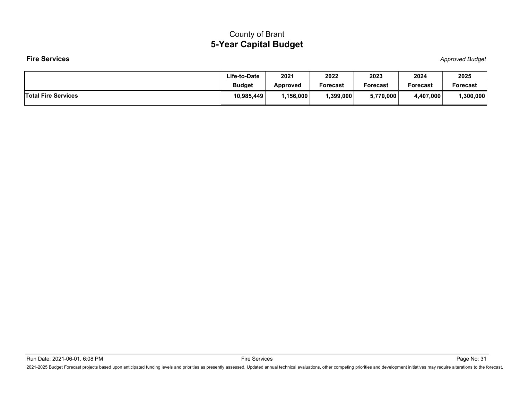|                            | <b>County of Brant</b>        |                         |                  |                  |                  |                        |
|----------------------------|-------------------------------|-------------------------|------------------|------------------|------------------|------------------------|
|                            | <b>5-Year Capital Budget</b>  |                         |                  |                  |                  |                        |
| <b>Fire Services</b>       |                               |                         |                  |                  |                  | <b>Approved Budget</b> |
|                            | Life-to-Date<br><b>Budget</b> | 2021<br><b>Approved</b> | 2022<br>Forecast | 2023<br>Forecast | 2024<br>Forecast | 2025<br>Forecast       |
| <b>Total Fire Services</b> | 10,985,449                    | 1,156,000               | 1,399,000        | 5,770,000        | 4,407,000        | 1,300,000              |
|                            |                               |                         |                  |                  |                  |                        |
|                            |                               |                         |                  |                  |                  |                        |

Run Date: 2021-06-01, 6:08 PM<br>2021-2025 Budget Forecast projects based upon anticipated funding levels and priorities as presently assessed. Updated annual technical evaluations, other competing priorities and development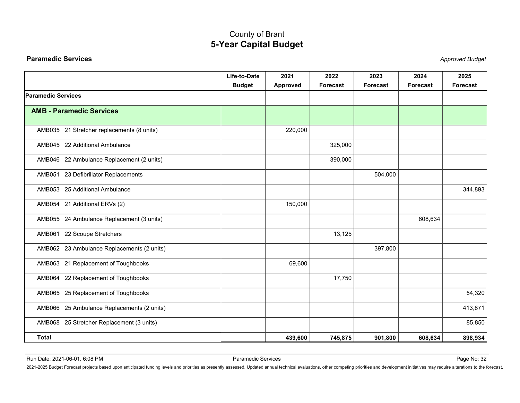<span id="page-32-0"></span>

| <b>Paramedic Services</b><br><b>Approved Budget</b><br>Life-to-Date<br>2021<br>2024<br>2022<br>2023<br>2025<br><b>Budget</b><br>Approved<br>Forecast<br>Forecast<br><b>Forecast</b><br>Forecast<br><b>Paramedic Services</b>                                                                         |
|------------------------------------------------------------------------------------------------------------------------------------------------------------------------------------------------------------------------------------------------------------------------------------------------------|
|                                                                                                                                                                                                                                                                                                      |
|                                                                                                                                                                                                                                                                                                      |
|                                                                                                                                                                                                                                                                                                      |
| <b>AMB - Paramedic Services</b>                                                                                                                                                                                                                                                                      |
| AMB035 21 Stretcher replacements (8 units)<br>220,000                                                                                                                                                                                                                                                |
| AMB045 22 Additional Ambulance<br>325,000                                                                                                                                                                                                                                                            |
| AMB046 22 Ambulance Replacement (2 units)<br>390,000                                                                                                                                                                                                                                                 |
| AMB051 23 Defibrillator Replacements<br>504,000                                                                                                                                                                                                                                                      |
| 344,893<br>AMB053 25 Additional Ambulance                                                                                                                                                                                                                                                            |
| AMB054 21 Additional ERVs (2)<br>150,000                                                                                                                                                                                                                                                             |
| AMB055 24 Ambulance Replacement (3 units)<br>608,634                                                                                                                                                                                                                                                 |
| AMB061 22 Scoupe Stretchers<br>13,125                                                                                                                                                                                                                                                                |
| AMB062 23 Ambulance Replacements (2 units)<br>397,800                                                                                                                                                                                                                                                |
| AMB063 21 Replacement of Toughbooks<br>69,600                                                                                                                                                                                                                                                        |
| AMB064 22 Replacement of Toughbooks<br>17,750                                                                                                                                                                                                                                                        |
| AMB065 25 Replacement of Toughbooks<br>54,320                                                                                                                                                                                                                                                        |
| AMB066 25 Ambulance Replacements (2 units)<br>413,871                                                                                                                                                                                                                                                |
| AMB068 25 Stretcher Replacement (3 units)<br>85,850                                                                                                                                                                                                                                                  |
| <b>Total</b><br>745,875<br>608,634<br>439,600<br>901,800<br>898,934                                                                                                                                                                                                                                  |
|                                                                                                                                                                                                                                                                                                      |
| Paramedic Services<br>Run Date: 2021-06-01, 6:08 PM<br>Page No: 32<br>2021-2025 Budget Forecast projects based upon anticipated funding levels and priorities as presently assessed. Updated annual technical evaluations, other competing priorities and development initiatives may require altera |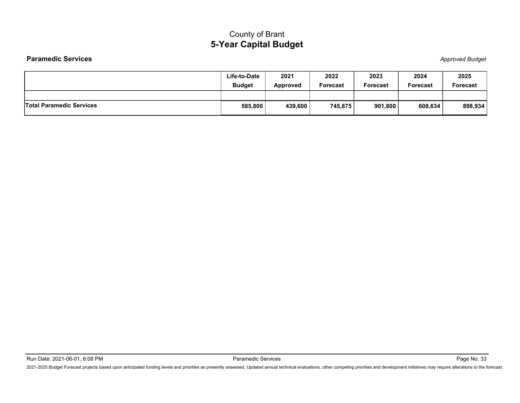|                                 | <b>County of Brant</b>        |                         |                  |                  |                  |                         |
|---------------------------------|-------------------------------|-------------------------|------------------|------------------|------------------|-------------------------|
|                                 | <b>5-Year Capital Budget</b>  |                         |                  |                  |                  |                         |
| <b>Paramedic Services</b>       |                               |                         |                  |                  |                  | <b>Approved Budget</b>  |
|                                 | Life-to-Date<br><b>Budget</b> | 2021<br><b>Approved</b> | 2022<br>Forecast | 2023<br>Forecast | 2024<br>Forecast | 2025<br><b>Forecast</b> |
| <b>Total Paramedic Services</b> | 585,800                       | 439,600                 | 745,875          | 901,800          | 608,634          | 898,934                 |
|                                 |                               |                         |                  |                  |                  |                         |
|                                 |                               |                         |                  |                  |                  |                         |
|                                 |                               |                         |                  |                  |                  |                         |
|                                 |                               |                         |                  |                  |                  |                         |
|                                 |                               |                         |                  |                  |                  |                         |
|                                 |                               |                         |                  |                  |                  |                         |
|                                 |                               |                         |                  |                  |                  |                         |

Raramedic Services Faramedic Services Pape No: 2021-06-01, 6:08 PM<br>2021-2025 Budget Forecast projects based upon anticipated funding levels and priorities as presently assessed. Updated annual technical evaluations, other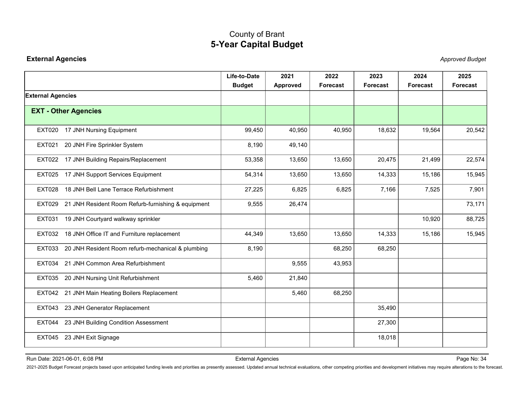<span id="page-34-0"></span>

|                                                                                                                                                                                                                                | <b>5-Year Capital Budget</b>  |                  |                  |                         |                  |                        |
|--------------------------------------------------------------------------------------------------------------------------------------------------------------------------------------------------------------------------------|-------------------------------|------------------|------------------|-------------------------|------------------|------------------------|
| <b>External Agencies</b>                                                                                                                                                                                                       |                               |                  |                  |                         |                  | <b>Approved Budget</b> |
|                                                                                                                                                                                                                                | Life-to-Date<br><b>Budget</b> | 2021<br>Approved | 2022<br>Forecast | 2023<br><b>Forecast</b> | 2024<br>Forecast | 2025<br>Forecast       |
| <b>External Agencies</b>                                                                                                                                                                                                       |                               |                  |                  |                         |                  |                        |
| <b>EXT - Other Agencies</b>                                                                                                                                                                                                    |                               |                  |                  |                         |                  |                        |
| EXT020 17 JNH Nursing Equipment                                                                                                                                                                                                | 99,450                        | 40,950           | 40,950           | 18,632                  | 19,564           | 20,542                 |
| 20 JNH Fire Sprinkler System<br>EXT021                                                                                                                                                                                         | 8,190                         | 49,140           |                  |                         |                  |                        |
| EXT022 17 JNH Building Repairs/Replacement                                                                                                                                                                                     | 53,358                        | 13,650           | 13,650           | 20,475                  | 21,499           | 22,574                 |
| EXT025 17 JNH Support Services Equipment                                                                                                                                                                                       | 54,314                        | 13,650           | 13,650           | 14,333                  | 15,186           | 15,945                 |
| EXT028 18 JNH Bell Lane Terrace Refurbishment                                                                                                                                                                                  | 27,225                        | 6,825            | 6,825            | 7,166                   | 7,525            | 7,901                  |
| EXT029 21 JNH Resident Room Refurb-furnishing & equipment                                                                                                                                                                      | 9,555                         | 26,474           |                  |                         |                  | 73,171                 |
| 19 JNH Courtyard walkway sprinkler<br>EXT031                                                                                                                                                                                   |                               |                  |                  |                         | 10,920           | 88,725                 |
| EXT032 18 JNH Office IT and Furniture replacement                                                                                                                                                                              | 44,349                        | 13,650           | 13,650           | 14,333                  | 15,186           | 15,945                 |
| EXT033 20 JNH Resident Room refurb-mechanical & plumbing                                                                                                                                                                       | 8,190                         |                  | 68,250           | 68,250                  |                  |                        |
| EXT034 21 JNH Common Area Refurbishment                                                                                                                                                                                        |                               | 9,555            | 43,953           |                         |                  |                        |
| EXT035 20 JNH Nursing Unit Refurbishment                                                                                                                                                                                       | 5,460                         | 21,840           |                  |                         |                  |                        |
| EXT042 21 JNH Main Heating Boilers Replacement                                                                                                                                                                                 |                               | 5,460            | 68,250           |                         |                  |                        |
| EXT043 23 JNH Generator Replacement                                                                                                                                                                                            |                               |                  |                  | 35,490                  |                  |                        |
| EXT044 23 JNH Building Condition Assessment                                                                                                                                                                                    |                               |                  |                  | 27,300                  |                  |                        |
| EXT045 23 JNH Exit Signage                                                                                                                                                                                                     |                               |                  |                  | 18,018                  |                  |                        |
| Run Date: 2021-06-01, 6:08 PM                                                                                                                                                                                                  | <b>External Agencies</b>      |                  |                  |                         |                  | Page No: 34            |
| 2021-2025 Budget Forecast projects based upon anticipated funding levels and priorities as presently assessed. Updated annual technical evaluations, other competing priorities and development initiatives may require altera |                               |                  |                  |                         |                  |                        |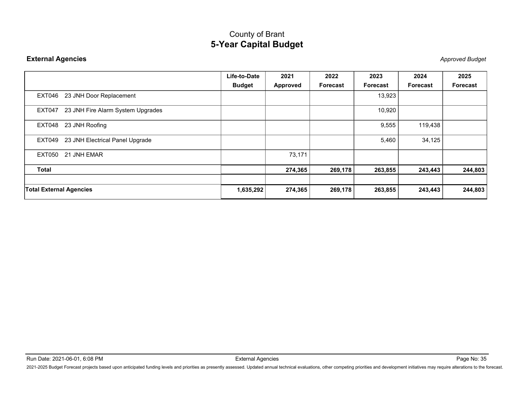|                                          | <b>5-Year Capital Budget</b> |                 |          |          |          |                        |
|------------------------------------------|------------------------------|-----------------|----------|----------|----------|------------------------|
| <b>External Agencies</b>                 |                              |                 |          |          |          | <b>Approved Budget</b> |
|                                          | Life-to-Date                 | 2021            | 2022     | 2023     | 2024     | 2025                   |
|                                          | <b>Budget</b>                | <b>Approved</b> | Forecast | Forecast | Forecast | Forecast               |
| EXT046 23 JNH Door Replacement           |                              |                 |          | 13,923   |          |                        |
| EXT047 23 JNH Fire Alarm System Upgrades |                              |                 |          | 10,920   |          |                        |
| EXT048 23 JNH Roofing                    |                              |                 |          | 9,555    | 119,438  |                        |
| EXT049 23 JNH Electrical Panel Upgrade   |                              |                 |          | 5,460    | 34,125   |                        |
| EXT050 21 JNH EMAR                       |                              | 73,171          |          |          |          |                        |
| <b>Total</b>                             |                              | 274,365         | 269,178  | 263,855  | 243,443  | 244,803                |
| <b>Total External Agencies</b>           | 1,635,292                    | 274,365         | 269,178  | 263,855  | 243,443  | 244,803                |
|                                          |                              |                 |          |          |          |                        |
|                                          |                              |                 |          |          |          |                        |
|                                          |                              |                 |          |          |          |                        |
|                                          |                              |                 |          |          |          |                        |
|                                          |                              |                 |          |          |          |                        |
|                                          |                              |                 |          |          |          |                        |
|                                          |                              |                 |          |          |          |                        |
|                                          |                              |                 |          |          |          |                        |
|                                          |                              |                 |          |          |          |                        |

Run Date: 2021-06-01, 6:08 PM<br>2021-2025 Budget Forecast projects based upon anticipated funding levels and priorities as presently assessed. Updated annual technical evaluations, other competing priorities and development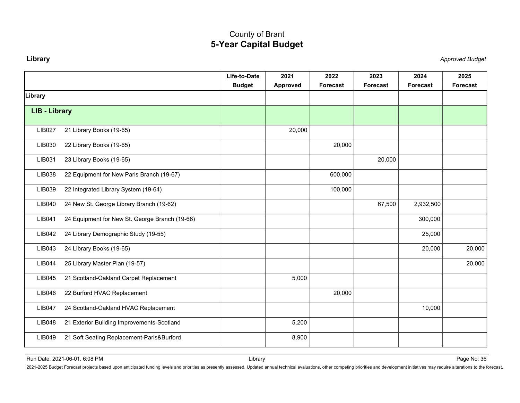<span id="page-36-0"></span>

|                                                                                                                                                                                                                                | County of Brant<br><b>5-Year Capital Budget</b> |                  |                  |                         |                        |
|--------------------------------------------------------------------------------------------------------------------------------------------------------------------------------------------------------------------------------|-------------------------------------------------|------------------|------------------|-------------------------|------------------------|
| Library                                                                                                                                                                                                                        |                                                 |                  |                  |                         | <b>Approved Budget</b> |
| Life-to-Date<br><b>Budget</b>                                                                                                                                                                                                  | 2021<br><b>Approved</b>                         | 2022<br>Forecast | 2023<br>Forecast | 2024<br><b>Forecast</b> | 2025<br>Forecast       |
| Library                                                                                                                                                                                                                        |                                                 |                  |                  |                         |                        |
| <b>LIB - Library</b>                                                                                                                                                                                                           |                                                 |                  |                  |                         |                        |
| 21 Library Books (19-65)<br><b>LIB027</b>                                                                                                                                                                                      | 20,000                                          |                  |                  |                         |                        |
| 22 Library Books (19-65)<br>LIB030                                                                                                                                                                                             |                                                 | 20,000           |                  |                         |                        |
| 23 Library Books (19-65)<br>LIB031                                                                                                                                                                                             |                                                 |                  | 20,000           |                         |                        |
| 22 Equipment for New Paris Branch (19-67)<br>LIB038                                                                                                                                                                            |                                                 | 600,000          |                  |                         |                        |
| 22 Integrated Library System (19-64)<br>LIB039                                                                                                                                                                                 |                                                 | 100,000          |                  |                         |                        |
| 24 New St. George Library Branch (19-62)<br>LIB040                                                                                                                                                                             |                                                 |                  | 67,500           | 2,932,500               |                        |
| 24 Equipment for New St. George Branch (19-66)<br>LIB041                                                                                                                                                                       |                                                 |                  |                  | 300,000                 |                        |
| 24 Library Demographic Study (19-55)<br>LIB042                                                                                                                                                                                 |                                                 |                  |                  | 25,000                  |                        |
| 24 Library Books (19-65)<br>LIB043                                                                                                                                                                                             |                                                 |                  |                  | 20,000                  | 20,000                 |
| 25 Library Master Plan (19-57)<br>LIB044                                                                                                                                                                                       |                                                 |                  |                  |                         | 20,000                 |
| 21 Scotland-Oakland Carpet Replacement<br>LIB045                                                                                                                                                                               | 5,000                                           |                  |                  |                         |                        |
| 22 Burford HVAC Replacement<br>LIB046                                                                                                                                                                                          |                                                 | 20,000           |                  |                         |                        |
| 24 Scotland-Oakland HVAC Replacement<br><b>LIB047</b>                                                                                                                                                                          |                                                 |                  |                  | 10,000                  |                        |
| LIB048<br>21 Exterior Building Improvements-Scotland                                                                                                                                                                           | 5,200                                           |                  |                  |                         |                        |
| 21 Soft Seating Replacement-Paris&Burford<br>LIB049                                                                                                                                                                            | 8,900                                           |                  |                  |                         |                        |
| Run Date: 2021-06-01, 6:08 PM                                                                                                                                                                                                  | Library                                         |                  |                  |                         | Page No: 36            |
| 2021-2025 Budget Forecast projects based upon anticipated funding levels and priorities as presently assessed. Updated annual technical evaluations, other competing priorities and development initiatives may require altera |                                                 |                  |                  |                         |                        |